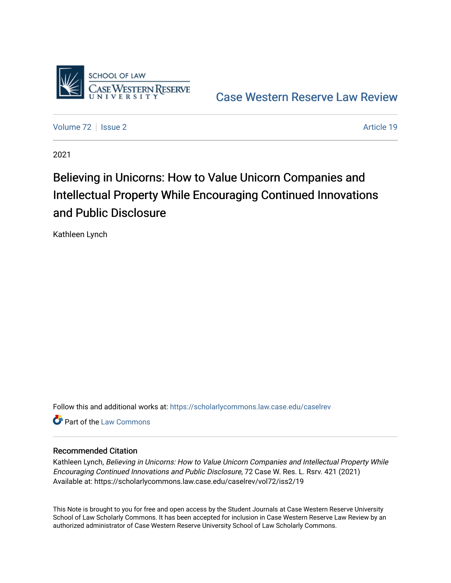

[Case Western Reserve Law Review](https://scholarlycommons.law.case.edu/caselrev) 

[Volume 72](https://scholarlycommons.law.case.edu/caselrev/vol72) | [Issue 2](https://scholarlycommons.law.case.edu/caselrev/vol72/iss2) Article 19

2021

# Believing in Unicorns: How to Value Unicorn Companies and Intellectual Property While Encouraging Continued Innovations and Public Disclosure

Kathleen Lynch

Follow this and additional works at: [https://scholarlycommons.law.case.edu/caselrev](https://scholarlycommons.law.case.edu/caselrev?utm_source=scholarlycommons.law.case.edu%2Fcaselrev%2Fvol72%2Fiss2%2F19&utm_medium=PDF&utm_campaign=PDFCoverPages)

**C** Part of the [Law Commons](https://network.bepress.com/hgg/discipline/578?utm_source=scholarlycommons.law.case.edu%2Fcaselrev%2Fvol72%2Fiss2%2F19&utm_medium=PDF&utm_campaign=PDFCoverPages)

## Recommended Citation

Kathleen Lynch, Believing in Unicorns: How to Value Unicorn Companies and Intellectual Property While Encouraging Continued Innovations and Public Disclosure, 72 Case W. Res. L. Rsrv. 421 (2021) Available at: https://scholarlycommons.law.case.edu/caselrev/vol72/iss2/19

This Note is brought to you for free and open access by the Student Journals at Case Western Reserve University School of Law Scholarly Commons. It has been accepted for inclusion in Case Western Reserve Law Review by an authorized administrator of Case Western Reserve University School of Law Scholarly Commons.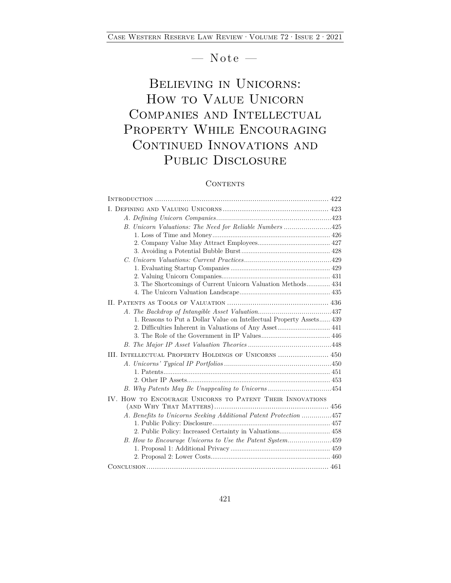## $-$  Note  $-$

## Believing in Unicorns: How to Value Unicorn Companies and Intellectual PROPERTY WHILE ENCOURAGING CONTINUED INNOVATIONS AND PUBLIC DISCLOSURE

## **CONTENTS**

| B. Unicorn Valuations: The Need for Reliable Numbers 425             |
|----------------------------------------------------------------------|
|                                                                      |
|                                                                      |
|                                                                      |
|                                                                      |
|                                                                      |
|                                                                      |
| 3. The Shortcomings of Current Unicorn Valuation Methods 434         |
|                                                                      |
|                                                                      |
|                                                                      |
| 1. Reasons to Put a Dollar Value on Intellectual Property Assets 439 |
|                                                                      |
|                                                                      |
|                                                                      |
|                                                                      |
|                                                                      |
|                                                                      |
|                                                                      |
|                                                                      |
| IV. HOW TO ENCOURAGE UNICORNS TO PATENT THEIR INNOVATIONS            |
|                                                                      |
| A. Benefits to Unicorns Seeking Additional Patent Protection 457     |
|                                                                      |
| 2. Public Policy: Increased Certainty in Valuations 458              |
| B. How to Encourage Unicorns to Use the Patent System459             |
|                                                                      |
|                                                                      |
|                                                                      |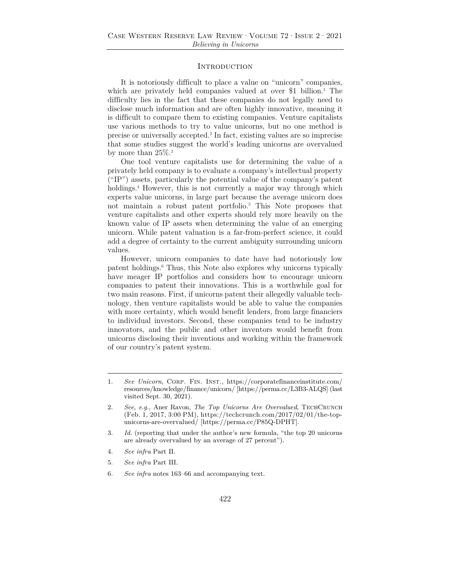#### **INTRODUCTION**

It is notoriously difficult to place a value on "unicorn" companies, which are privately held companies valued at over \$1 billion.<sup>1</sup> The difficulty lies in the fact that these companies do not legally need to disclose much information and are often highly innovative, meaning it is difficult to compare them to existing companies. Venture capitalists use various methods to try to value unicorns, but no one method is precise or universally accepted.2 In fact, existing values are so imprecise that some studies suggest the world's leading unicorns are overvalued by more than  $25\%$ <sup>3</sup>

One tool venture capitalists use for determining the value of a privately held company is to evaluate a company's intellectual property ("IP") assets, particularly the potential value of the company's patent holdings.<sup>4</sup> However, this is not currently a major way through which experts value unicorns, in large part because the average unicorn does not maintain a robust patent portfolio.5 This Note proposes that venture capitalists and other experts should rely more heavily on the known value of IP assets when determining the value of an emerging unicorn. While patent valuation is a far-from-perfect science, it could add a degree of certainty to the current ambiguity surrounding unicorn values.

However, unicorn companies to date have had notoriously low patent holdings.6 Thus, this Note also explores why unicorns typically have meager IP portfolios and considers how to encourage unicorn companies to patent their innovations. This is a worthwhile goal for two main reasons. First, if unicorns patent their allegedly valuable technology, then venture capitalists would be able to value the companies with more certainty, which would benefit lenders, from large financiers to individual investors. Second, these companies tend to be industry innovators, and the public and other inventors would benefit from unicorns disclosing their inventions and working within the framework of our country's patent system.

<sup>1.</sup> *See Unicorn*, Corp. Fin. Inst., https://corporatefinanceinstitute.com/ resources/knowledge/finance/unicorn/ [https://perma.cc/L3B3-ALQS] (last visited Sept. 30, 2021).

<sup>2.</sup> *See, e.g.*, Aner Ravon, *The Top Unicorns Are Overvalued*, TECHCRUNCH (Feb. 1, 2017, 3:00 PM), https://techcrunch.com/2017/02/01/the-topunicorns-are-overvalued/ [https://perma.cc/P85Q-DPHT].

<sup>3.</sup> *Id.* (reporting that under the author's new formula, "the top 20 unicorns are already overvalued by an average of 27 percent").

<sup>4.</sup> *See infra* Part II.

<sup>5.</sup> *See infra* Part III.

<sup>6.</sup> *See infra* notes 163–66 and accompanying text.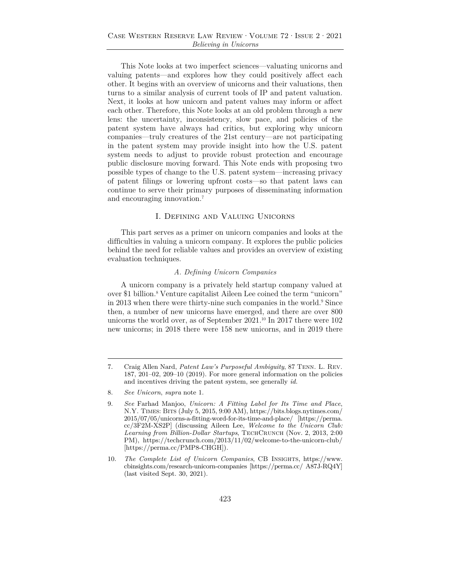This Note looks at two imperfect sciences—valuating unicorns and valuing patents—and explores how they could positively affect each other. It begins with an overview of unicorns and their valuations, then turns to a similar analysis of current tools of IP and patent valuation. Next, it looks at how unicorn and patent values may inform or affect each other. Therefore, this Note looks at an old problem through a new lens: the uncertainty, inconsistency, slow pace, and policies of the patent system have always had critics, but exploring why unicorn companies—truly creatures of the 21st century—are not participating in the patent system may provide insight into how the U.S. patent system needs to adjust to provide robust protection and encourage public disclosure moving forward. This Note ends with proposing two possible types of change to the U.S. patent system—increasing privacy of patent filings or lowering upfront costs—so that patent laws can continue to serve their primary purposes of disseminating information and encouraging innovation.7

### I. Defining and Valuing Unicorns

This part serves as a primer on unicorn companies and looks at the difficulties in valuing a unicorn company. It explores the public policies behind the need for reliable values and provides an overview of existing evaluation techniques.

#### *A. Defining Unicorn Companies*

A unicorn company is a privately held startup company valued at over \$1 billion.<sup>8</sup> Venture capitalist Aileen Lee coined the term "unicorn" in 2013 when there were thirty-nine such companies in the world.<sup>9</sup> Since then, a number of new unicorns have emerged, and there are over 800 unicorns the world over, as of September 2021.<sup>10</sup> In 2017 there were 102 new unicorns; in 2018 there were 158 new unicorns, and in 2019 there

<sup>7.</sup> Craig Allen Nard, *Patent Law's Purposeful Ambiguity*, 87 Tenn. L. Rev. 187, 201–02, 209–10 (2019). For more general information on the policies and incentives driving the patent system, see generally *id.*

<sup>8.</sup> *See Unicorn*, *supra* note 1.

<sup>9.</sup> *See* Farhad Manjoo, *Unicorn: A Fitting Label for Its Time and Place*, N.Y. Times: Bits (July 5, 2015, 9:00 AM), https://bits.blogs.nytimes.com/ 2015/07/05/unicorns-a-fitting-word-for-its-time-and-place/ [https://perma. cc/3F2M-XS2P] (discussing Aileen Lee, *Welcome to the Unicorn Club:*  Learning from Billion-Dollar Startups, TECHCRUNCH (Nov. 2, 2013, 2:00 PM), https://techcrunch.com/2013/11/02/welcome-to-the-unicorn-club/ [https://perma.cc/PMP8-CHGH]).

<sup>10.</sup> *The Complete List of Unicorn Companies*, CB Insights, https://www. cbinsights.com/research-unicorn-companies [https://perma.cc/ A87J-RQ4Y] (last visited Sept. 30, 2021).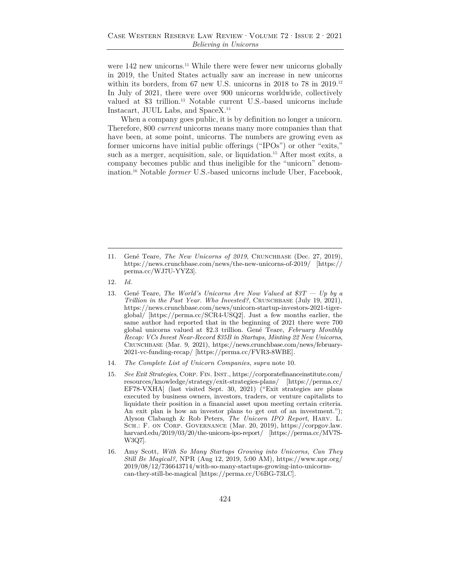were 142 new unicorns.<sup>11</sup> While there were fewer new unicorns globally in 2019, the United States actually saw an increase in new unicorns within its borders, from 67 new U.S. unicorns in 2018 to 78 in 2019.12 In July of 2021, there were over 900 unicorns worldwide, collectively valued at \$3 trillion.13 Notable current U.S.-based unicorns include Instacart, JUUL Labs, and SpaceX.14

When a company goes public, it is by definition no longer a unicorn. Therefore, 800 *current* unicorns means many more companies than that have been, at some point, unicorns. The numbers are growing even as former unicorns have initial public offerings ("IPOs") or other "exits," such as a merger, acquisition, sale, or liquidation.<sup>15</sup> After most exits, a company becomes public and thus ineligible for the "unicorn" denomination.16 Notable *former* U.S.-based unicorns include Uber, Facebook,

16. Amy Scott, *With So Many Startups Growing into Unicorns, Can They Still Be Magical?*, NPR (Aug 12, 2019, 5:00 AM), https://www.npr.org/ 2019/08/12/736643714/with-so-many-startups-growing-into-unicornscan-they-still-be-magical [https://perma.cc/U6BG-73LC].

<sup>11.</sup> Gené Teare, *The New Unicorns of 2019*, Crunchbase (Dec. 27, 2019), https://news.crunchbase.com/news/the-new-unicorns-of-2019/ [https:// perma.cc/WJ7U-YYZ3].

<sup>12.</sup> *Id.* 

<sup>13.</sup> Gené Teare, *The World's Unicorns Are Now Valued at \$3T — Up by a Trillion in the Past Year. Who Invested?*, CRUNCHBASE (July 19, 2021), https://news.crunchbase.com/news/unicorn-startup-investors-2021-tigerglobal/ [https://perma.cc/SCR4-USQ2]. Just a few months earlier, the same author had reported that in the beginning of 2021 there were 700 global unicorns valued at \$2.3 trillion. Gené Teare, *February Monthly Recap: VCs Invest Near-Record \$35B in Startups, Minting 22 New Unicorns*, Crunchbase (Mar. 9, 2021), https://news.crunchbase.com/news/february-2021-vc-funding-recap/ [https://perma.cc/FVR3-8WBE].

<sup>14.</sup> *The Complete List of Unicorn Companies*, *supra* note 10.

<sup>15.</sup> *See Exit Strategies*, Corp. Fin. Inst., https://corporatefinanceinstitute.com/ resources/knowledge/strategy/exit-strategies-plans/ [https://perma.cc/ EF78-VXHA] (last visited Sept. 30, 2021) ("Exit strategies are plans executed by business owners, investors, traders, or venture capitalists to liquidate their position in a financial asset upon meeting certain criteria. An exit plan is how an investor plans to get out of an investment."); Alyson Clabaugh & Rob Peters, *The Unicorn IPO Report*, Harv. L. Sch.: F. on Corp. Governance (Mar. 20, 2019), https://corpgov.law. harvard.edu/2019/03/20/the-unicorn-ipo-report/ [https://perma.cc/MV7S-W3Q7].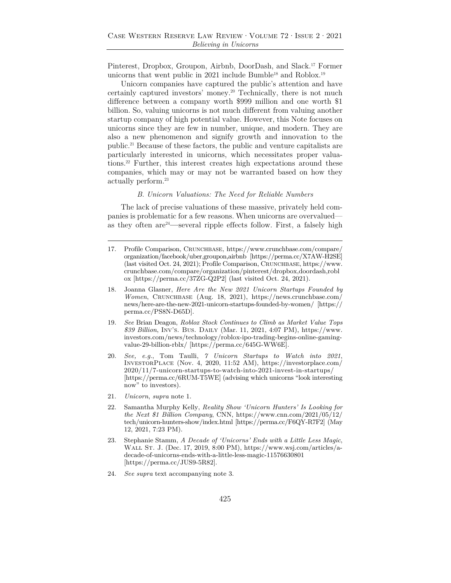Pinterest, Dropbox, Groupon, Airbnb, DoorDash, and Slack.17 Former unicorns that went public in 2021 include Bumble<sup>18</sup> and Roblox.<sup>19</sup>

Unicorn companies have captured the public's attention and have certainly captured investors' money.<sup>20</sup> Technically, there is not much difference between a company worth \$999 million and one worth \$1 billion. So, valuing unicorns is not much different from valuing another startup company of high potential value. However, this Note focuses on unicorns since they are few in number, unique, and modern. They are also a new phenomenon and signify growth and innovation to the public.21 Because of these factors, the public and venture capitalists are particularly interested in unicorns, which necessitates proper valuations.22 Further, this interest creates high expectations around these companies, which may or may not be warranted based on how they actually perform.23

#### *B. Unicorn Valuations: The Need for Reliable Numbers*

The lack of precise valuations of these massive, privately held companies is problematic for a few reasons. When unicorns are overvalued as they often are24**—**several ripple effects follow. First, a falsely high

- 17. Profile Comparison, Crunchbase, https://www.crunchbase.com/compare/ organization/facebook/uber,groupon,airbnb [https://perma.cc/X7AW-H2SE] (last visited Oct. 24, 2021); Profile Comparison, Crunchbase, https://www. crunchbase.com/compare/organization/pinterest/dropbox,doordash,robl ox [https://perma.cc/37ZG-Q2P2] (last visited Oct. 24, 2021).
- 18. Joanna Glasner, *Here Are the New 2021 Unicorn Startups Founded by Women*, Crunchbase (Aug. 18, 2021), https://news.crunchbase.com/ news/here-are-the-new-2021-unicorn-startups-founded-by-women/ [https:// perma.cc/PS8N-D65D].
- 19. *See* Brian Deagon, *Roblox Stock Continues to Climb as Market Value Tops \$39 Billion*, Inv's. Bus. Daily (Mar. 11, 2021, 4:07 PM), https://www. investors.com/news/technology/roblox-ipo-trading-begins-online-gamingvalue-29-billion-rblx/ [https://perma.cc/645G-WW6E].
- 20. *See, e.g.*, Tom Taulli, *7 Unicorn Startups to Watch into 2021*, InvestorPlace (Nov. 4, 2020, 11:52 AM), https://investorplace.com/ 2020/11/7-unicorn-startups-to-watch-into-2021-invest-in-startups/ [https://perma.cc/6RUM-T5WE] (advising which unicorns "look interesting now" to investors).
- 21. *Unicorn*, *supra* note 1.
- 22. Samantha Murphy Kelly, *Reality Show 'Unicorn Hunters' Is Looking for the Next \$1 Billion Company*, CNN, https://www.cnn.com/2021/05/12/ tech/unicorn-hunters-show/index.html [https://perma.cc/F6QY-R7F2] (May 12, 2021, 7:23 PM).
- 23. Stephanie Stamm, *A Decade of 'Unicorns' Ends with a Little Less Magic*, Wall St. J. (Dec. 17, 2019, 8:00 PM), https://www.wsj.com/articles/adecade-of-unicorns-ends-with-a-little-less-magic-11576630801 [https://perma.cc/JUS9-5R82].
- 24. *See supra* text accompanying note 3.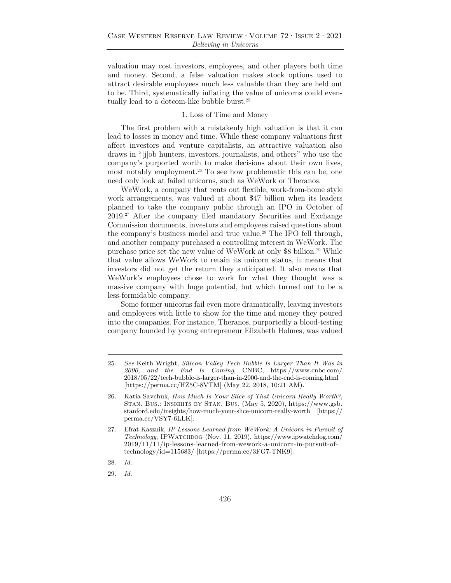valuation may cost investors, employees, and other players both time and money. Second, a false valuation makes stock options used to attract desirable employees much less valuable than they are held out to be. Third, systematically inflating the value of unicorns could eventually lead to a dotcom-like bubble burst.25

#### 1. Loss of Time and Money

The first problem with a mistakenly high valuation is that it can lead to losses in money and time. While these company valuations first affect investors and venture capitalists, an attractive valuation also draws in "[j]ob hunters, investors, journalists, and others" who use the company's purported worth to make decisions about their own lives, most notably employment.<sup>26</sup> To see how problematic this can be, one need only look at failed unicorns, such as WeWork or Theranos.

WeWork, a company that rents out flexible, work-from-home style work arrangements, was valued at about \$47 billion when its leaders planned to take the company public through an IPO in October of 2019.27 After the company filed mandatory Securities and Exchange Commission documents, investors and employees raised questions about the company's business model and true value.28 The IPO fell through, and another company purchased a controlling interest in WeWork. The purchase price set the new value of WeWork at only \$8 billion.<sup>29</sup> While that value allows WeWork to retain its unicorn status, it means that investors did not get the return they anticipated. It also means that WeWork's employees chose to work for what they thought was a massive company with huge potential, but which turned out to be a less-formidable company.

Some former unicorns fail even more dramatically, leaving investors and employees with little to show for the time and money they poured into the companies. For instance, Theranos, purportedly a blood-testing company founded by young entrepreneur Elizabeth Holmes, was valued

<sup>25.</sup> *See* Keith Wright, *Silicon Valley Tech Bubble Is Larger Than It Was in 2000, and the End Is Coming*, CNBC, https://www.cnbc.com/ 2018/05/22/tech-bubble-is-larger-than-in-2000-and-the-end-is-coming.html [https://perma.cc/HZ5C-8VTM] (May 22, 2018, 10:21 AM).

<sup>26.</sup> Katia Savchuk, *How Much Is Your Slice of That Unicorn Really Worth?*, Stan. Bus.: Insights by Stan. Bus. (May 5, 2020), https://www.gsb. stanford.edu/insights/how-much-your-slice-unicorn-really-worth [https:// perma.cc/VSY7-6LLK].

<sup>27.</sup> Efrat Kasznik, *IP Lessons Learned from WeWork: A Unicorn in Pursuit of Technology*, IPWatchdog (Nov. 11, 2019), https://www.ipwatchdog.com/ 2019/11/11/ip-lessons-learned-from-wework-a-unicorn-in-pursuit-oftechnology/id=115683/ [https://perma.cc/3FG7-TNK9].

<sup>28.</sup> *Id.* 

<sup>29.</sup> *Id.*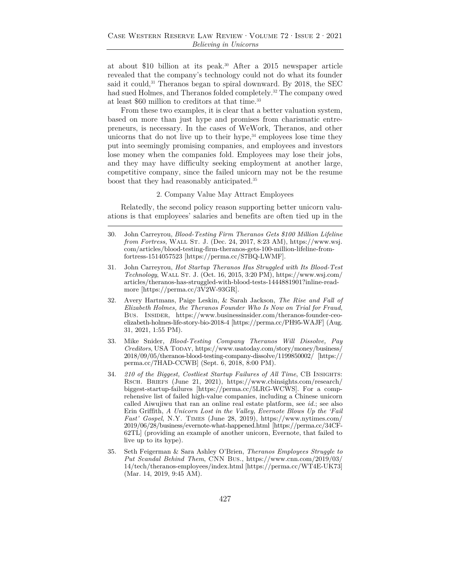at about \$10 billion at its peak.30 After a 2015 newspaper article revealed that the company's technology could not do what its founder said it could,<sup>31</sup> Theranos began to spiral downward. By 2018, the SEC had sued Holmes, and Theranos folded completely.<sup>32</sup> The company owed at least \$60 million to creditors at that time.<sup>33</sup>

From these two examples, it is clear that a better valuation system, based on more than just hype and promises from charismatic entrepreneurs, is necessary. In the cases of WeWork, Theranos, and other unicorns that do not live up to their hype, $34$  employees lose time they put into seemingly promising companies, and employees and investors lose money when the companies fold. Employees may lose their jobs, and they may have difficulty seeking employment at another large, competitive company, since the failed unicorn may not be the resume boost that they had reasonably anticipated.35

#### 2. Company Value May Attract Employees

Relatedly, the second policy reason supporting better unicorn valuations is that employees' salaries and benefits are often tied up in the

- 31. John Carreyrou, *Hot Startup Theranos Has Struggled with Its Blood-Test Technology*, Wall St. J. (Oct. 16, 2015, 3:20 PM), https://www.wsj.com/ articles/theranos-has-struggled-with-blood-tests-1444881901?inline-readmore [https://perma.cc/3V2W-93GR].
- 32. Avery Hartmans, Paige Leskin, & Sarah Jackson, *The Rise and Fall of Elizabeth Holmes, the Theranos Founder Who Is Now on Trial for Fraud*, Bus. Insider, https://www.businessinsider.com/theranos-founder-ceoelizabeth-holmes-life-story-bio-2018-4 [https://perma.cc/PH95-WAJF] (Aug. 31, 2021, 1:55 PM).
- 33. Mike Snider, *Blood-Testing Company Theranos Will Dissolve, Pay Creditors*, USA TODAY, https://www.usatoday.com/story/money/business/ 2018/09/05/theranos-blood-testing-company-dissolve/1199850002/ [https:// perma.cc/7HAD-CCWB] (Sept. 6, 2018, 8:00 PM).
- 34. *210 of the Biggest, Costliest Startup Failures of All Time*, CB Insights: Rsch. Briefs (June 21, 2021), https://www.cbinsights.com/research/ biggest-startup-failures [https://perma.cc/5LRG-WCWS]. For a comprehensive list of failed high-value companies, including a Chinese unicorn called Aiwujiwu that ran an online real estate platform, see *id.*; see also Erin Griffith, *A Unicorn Lost in the Valley, Evernote Blows Up the 'Fail Fast' Gospel*, N.Y. Times (June 28, 2019), https://www.nytimes.com/ 2019/06/28/business/evernote-what-happened.html [https://perma.cc/34CF-62TL] (providing an example of another unicorn, Evernote, that failed to live up to its hype).
- 35. Seth Feigerman & Sara Ashley O'Brien, *Theranos Employees Struggle to Put Scandal Behind Them*, CNN Bus., https://www.cnn.com/2019/03/ 14/tech/theranos-employees/index.html [https://perma.cc/WT4E-UK73] (Mar. 14, 2019, 9:45 AM).

<sup>30.</sup> John Carreyrou, *Blood-Testing Firm Theranos Gets \$100 Million Lifeline from Fortress*, WALL ST. J. (Dec. 24, 2017, 8:23 AM), https://www.wsj. com/articles/blood-testing-firm-theranos-gets-100-million-lifeline-fromfortress-1514057523 [https://perma.cc/S7BQ-LWMF].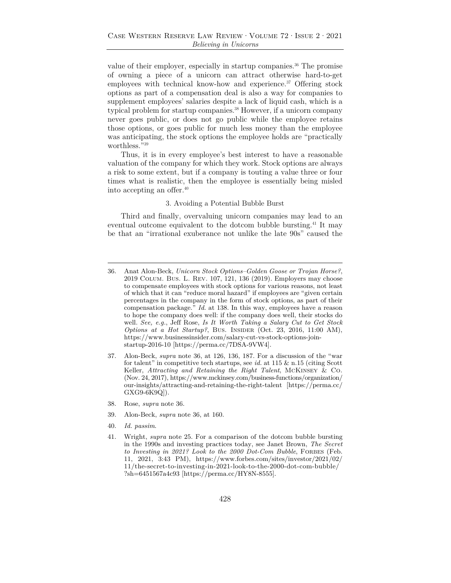value of their employer, especially in startup companies.<sup>36</sup> The promise of owning a piece of a unicorn can attract otherwise hard-to-get employees with technical know-how and experience.<sup>37</sup> Offering stock options as part of a compensation deal is also a way for companies to supplement employees' salaries despite a lack of liquid cash, which is a typical problem for startup companies.38 However, if a unicorn company never goes public, or does not go public while the employee retains those options, or goes public for much less money than the employee was anticipating, the stock options the employee holds are "practically worthless."39

Thus, it is in every employee's best interest to have a reasonable valuation of the company for which they work. Stock options are always a risk to some extent, but if a company is touting a value three or four times what is realistic, then the employee is essentially being misled into accepting an offer.40

#### 3. Avoiding a Potential Bubble Burst

Third and finally, overvaluing unicorn companies may lead to an eventual outcome equivalent to the dotcom bubble bursting.41 It may be that an "irrational exuberance not unlike the late 90s" caused the

- 37. Alon-Beck, *supra* note 36, at 126, 136, 187. For a discussion of the "war for talent" in competitive tech startups, see *id.* at 115 & n.15 (citing Scott Keller, *Attracting and Retaining the Right Talent*, McKinsey & Co. (Nov. 24, 2017), https://www.mckinsey.com/business-functions/organization/ our-insights/attracting-and-retaining-the-right-talent [https://perma.cc/ GXG9-6K9Q]).
- 38. Rose, *supra* note 36.
- 39. Alon-Beck, *supra* note 36, at 160.
- 40. *Id. passim*.
- 41. Wright, *supra* note 25. For a comparison of the dotcom bubble bursting in the 1990s and investing practices today, see Janet Brown, *The Secret to Investing in 2021? Look to the 2000 Dot-Com Bubble*, FORBES (Feb. 11, 2021, 3:43 PM), https://www.forbes.com/sites/investor/2021/02/ 11/the-secret-to-investing-in-2021-look-to-the-2000-dot-com-bubble/ ?sh=6451567a4c93 [https://perma.cc/HY8N-8555].

<sup>36.</sup> Anat Alon-Beck, *Unicorn Stock Options–Golden Goose or Trojan Horse?*, 2019 Colum. Bus. L. Rev. 107, 121, 136 (2019). Employers may choose to compensate employees with stock options for various reasons, not least of which that it can "reduce moral hazard" if employees are "given certain percentages in the company in the form of stock options, as part of their compensation package." *Id.* at 138. In this way, employees have a reason to hope the company does well: if the company does well, their stocks do well. *See, e.g.*, Jeff Rose, *Is It Worth Taking a Salary Cut to Get Stock Options at a Hot Startup?*, Bus. INSIDER (Oct. 23, 2016, 11:00 AM), https://www.businessinsider.com/salary-cut-vs-stock-options-joinstartup-2016-10 [https://perma.cc/7DSA-9VW4].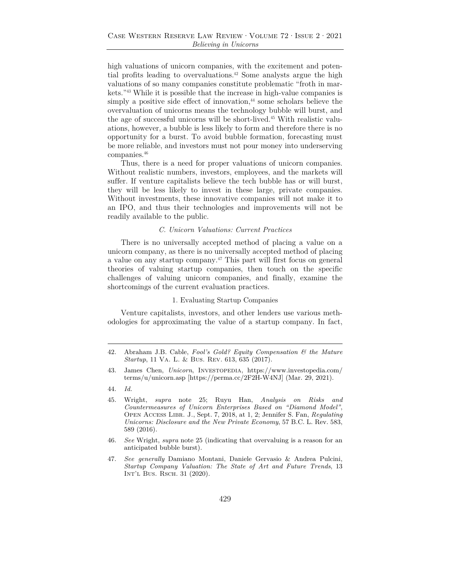high valuations of unicorn companies, with the excitement and potential profits leading to overvaluations.42 Some analysts argue the high valuations of so many companies constitute problematic "froth in markets."43 While it is possible that the increase in high-value companies is simply a positive side effect of innovation, $44$  some scholars believe the overvaluation of unicorns means the technology bubble will burst, and the age of successful unicorns will be short-lived.45 With realistic valuations, however, a bubble is less likely to form and therefore there is no opportunity for a burst. To avoid bubble formation, forecasting must be more reliable, and investors must not pour money into underserving companies.46

Thus, there is a need for proper valuations of unicorn companies. Without realistic numbers, investors, employees, and the markets will suffer. If venture capitalists believe the tech bubble has or will burst, they will be less likely to invest in these large, private companies. Without investments, these innovative companies will not make it to an IPO, and thus their technologies and improvements will not be readily available to the public.

#### *C. Unicorn Valuations: Current Practices*

There is no universally accepted method of placing a value on a unicorn company, as there is no universally accepted method of placing a value on any startup company.47 This part will first focus on general theories of valuing startup companies, then touch on the specific challenges of valuing unicorn companies, and finally, examine the shortcomings of the current evaluation practices.

#### 1. Evaluating Startup Companies

Venture capitalists, investors, and other lenders use various methodologies for approximating the value of a startup company. In fact,

<sup>42.</sup> Abraham J.B. Cable, *Fool's Gold? Equity Compensation & the Mature Startup*, 11 Va. L. & Bus. Rev. 613, 635 (2017).

<sup>43.</sup> James Chen, *Unicorn*, Investopedia, https://www.investopedia.com/ terms/u/unicorn.asp [https://perma.cc/2F2H-W4NJ] (Mar. 29, 2021).

<sup>44.</sup> *Id.*

<sup>45.</sup> Wright, *supra* note 25; Ruyu Han, *Analysis on Risks and Countermeasures of Unicorn Enterprises Based on "Diamond Model"*, Open Access Libr. J., Sept. 7, 2018, at 1, 2; Jennifer S. Fan, *Regulating Unicorns: Disclosure and the New Private Economy*, 57 B.C. L. Rev. 583, 589 (2016).

<sup>46.</sup> *See* Wright, *supra* note 25 (indicating that overvaluing is a reason for an anticipated bubble burst).

<sup>47.</sup> *See generally* Damiano Montani, Daniele Gervasio & Andrea Pulcini, *Startup Company Valuation: The State of Art and Future Trends*, 13 Int'l Bus. Rsch. 31 (2020).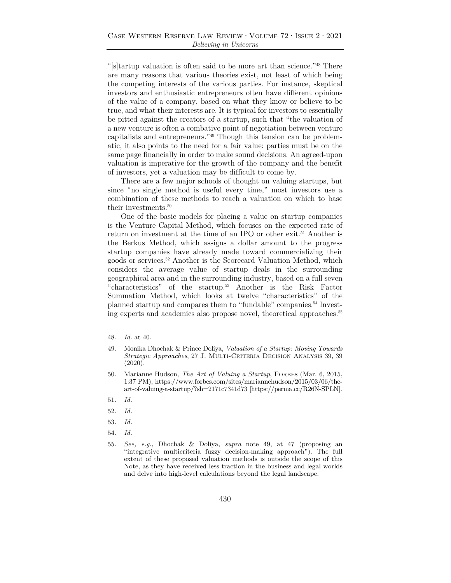"[s]tartup valuation is often said to be more art than science."48 There are many reasons that various theories exist, not least of which being the competing interests of the various parties. For instance, skeptical investors and enthusiastic entrepreneurs often have different opinions of the value of a company, based on what they know or believe to be true, and what their interests are. It is typical for investors to essentially be pitted against the creators of a startup, such that "the valuation of a new venture is often a combative point of negotiation between venture capitalists and entrepreneurs."49 Though this tension can be problematic, it also points to the need for a fair value: parties must be on the same page financially in order to make sound decisions. An agreed-upon valuation is imperative for the growth of the company and the benefit of investors, yet a valuation may be difficult to come by.

There are a few major schools of thought on valuing startups, but since "no single method is useful every time," most investors use a combination of these methods to reach a valuation on which to base their investments.<sup>50</sup>

One of the basic models for placing a value on startup companies is the Venture Capital Method, which focuses on the expected rate of return on investment at the time of an IPO or other exit.<sup>51</sup> Another is the Berkus Method, which assigns a dollar amount to the progress startup companies have already made toward commercializing their goods or services.52 Another is the Scorecard Valuation Method, which considers the average value of startup deals in the surrounding geographical area and in the surrounding industry, based on a full seven "characteristics" of the startup.53 Another is the Risk Factor Summation Method, which looks at twelve "characteristics" of the planned startup and compares them to "fundable" companies.54 Investing experts and academics also propose novel, theoretical approaches.55

- 53. *Id.*
- 54. *Id.*
- 55. *See, e.g.*, Dhochak & Doliya, *supra* note 49, at 47 (proposing an "integrative multicriteria fuzzy decision-making approach"). The full extent of these proposed valuation methods is outside the scope of this Note, as they have received less traction in the business and legal worlds and delve into high-level calculations beyond the legal landscape.

<sup>48.</sup> *Id.* at 40.

<sup>49.</sup> Monika Dhochak & Prince Doliya, *Valuation of a Startup: Moving Towards Strategic Approaches*, 27 J. MULTI-CRITERIA DECISION ANALYSIS 39, 39 (2020).

<sup>50.</sup> Marianne Hudson, *The Art of Valuing a Startup*, FORBES (Mar. 6, 2015, 1:37 PM), https://www.forbes.com/sites/mariannehudson/2015/03/06/theart-of-valuing-a-startup/?sh=2171c7341d73 [https://perma.cc/R26N-SPLN].

<sup>51.</sup> *Id.* 

<sup>52.</sup> *Id.*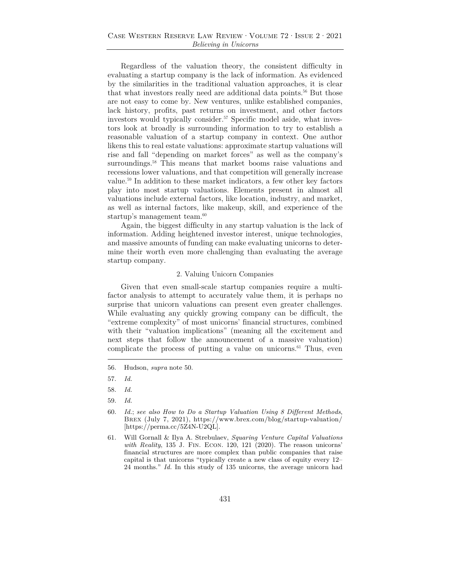Regardless of the valuation theory, the consistent difficulty in evaluating a startup company is the lack of information. As evidenced by the similarities in the traditional valuation approaches, it is clear that what investors really need are additional data points.<sup>56</sup> But those are not easy to come by. New ventures, unlike established companies, lack history, profits, past returns on investment, and other factors investors would typically consider.<sup>57</sup> Specific model aside, what investors look at broadly is surrounding information to try to establish a reasonable valuation of a startup company in context. One author likens this to real estate valuations: approximate startup valuations will rise and fall "depending on market forces" as well as the company's surroundings.<sup>58</sup> This means that market booms raise valuations and recessions lower valuations, and that competition will generally increase value.59 In addition to these market indicators, a few other key factors play into most startup valuations. Elements present in almost all valuations include external factors, like location, industry, and market, as well as internal factors, like makeup, skill, and experience of the startup's management team.<sup>60</sup>

Again, the biggest difficulty in any startup valuation is the lack of information. Adding heightened investor interest, unique technologies, and massive amounts of funding can make evaluating unicorns to determine their worth even more challenging than evaluating the average startup company.

#### 2. Valuing Unicorn Companies

Given that even small-scale startup companies require a multifactor analysis to attempt to accurately value them, it is perhaps no surprise that unicorn valuations can present even greater challenges. While evaluating any quickly growing company can be difficult, the "extreme complexity" of most unicorns' financial structures, combined with their "valuation implications" (meaning all the excitement and next steps that follow the announcement of a massive valuation) complicate the process of putting a value on unicorns.<sup>61</sup> Thus, even

59. *Id.* 

<sup>56.</sup> Hudson, *supra* note 50.

<sup>57.</sup> *Id.*

<sup>58.</sup> *Id.*

<sup>60.</sup> *Id.*; *see also How to Do a Startup Valuation Using 8 Different Methods*, Brex (July 7, 2021), https://www.brex.com/blog/startup-valuation/ [https://perma.cc/5Z4N-U2QL].

<sup>61.</sup> Will Gornall & Ilya A. Strebulaev, *Squaring Venture Capital Valuations with Reality*, 135 J. Fin. Econ. 120, 121 (2020). The reason unicorns' financial structures are more complex than public companies that raise capital is that unicorns "typically create a new class of equity every 12– 24 months." *Id.* In this study of 135 unicorns, the average unicorn had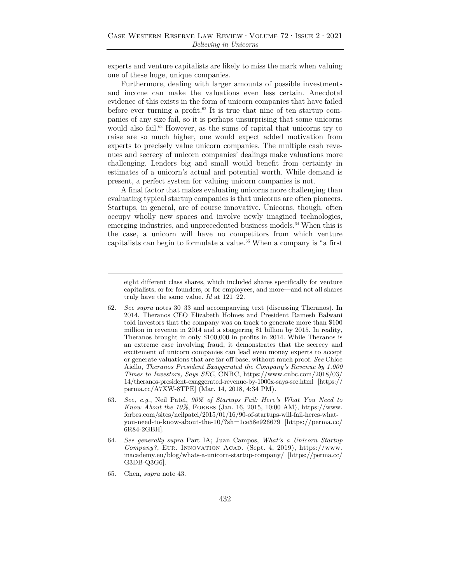experts and venture capitalists are likely to miss the mark when valuing one of these huge, unique companies.

Furthermore, dealing with larger amounts of possible investments and income can make the valuations even less certain. Anecdotal evidence of this exists in the form of unicorn companies that have failed before ever turning a profit.<sup>62</sup> It is true that nine of ten startup companies of any size fail, so it is perhaps unsurprising that some unicorns would also fail.<sup>63</sup> However, as the sums of capital that unicorns try to raise are so much higher, one would expect added motivation from experts to precisely value unicorn companies. The multiple cash revenues and secrecy of unicorn companies' dealings make valuations more challenging. Lenders big and small would benefit from certainty in estimates of a unicorn's actual and potential worth. While demand is present, a perfect system for valuing unicorn companies is not.

A final factor that makes evaluating unicorns more challenging than evaluating typical startup companies is that unicorns are often pioneers. Startups, in general, are of course innovative. Unicorns, though, often occupy wholly new spaces and involve newly imagined technologies, emerging industries, and unprecedented business models.<sup>64</sup> When this is the case, a unicorn will have no competitors from which venture capitalists can begin to formulate a value.<sup>65</sup> When a company is "a first

eight different class shares, which included shares specifically for venture capitalists, or for founders, or for employees, and more—and not all shares truly have the same value. *Id* at 121–22*.*

- 62. *See supra* notes 30–33 and accompanying text (discussing Theranos). In 2014, Theranos CEO Elizabeth Holmes and President Ramesh Balwani told investors that the company was on track to generate more than \$100 million in revenue in 2014 and a staggering \$1 billion by 2015. In reality, Theranos brought in only \$100,000 in profits in 2014. While Theranos is an extreme case involving fraud, it demonstrates that the secrecy and excitement of unicorn companies can lead even money experts to accept or generate valuations that are far off base, without much proof. *See* Chloe Aiello, *Theranos President Exaggerated the Company's Revenue by 1,000 Times to Investors, Says SEC*, CNBC, https://www.cnbc.com/2018/03/ 14/theranos-president-exaggerated-revenue-by-1000x-says-sec.html [https:// perma.cc/A7XW-8TPE] (Mar. 14, 2018, 4:34 PM).
- 63. *See, e.g.*, Neil Patel, *90% of Startups Fail: Here's What You Need to Know About the 10%*, FORBES (Jan. 16, 2015, 10:00 AM), https://www. forbes.com/sites/neilpatel/2015/01/16/90-of-startups-will-fail-heres-whatyou-need-to-know-about-the-10/?sh=1ce58e926679 [https://perma.cc/ 6R84-2GBH].
- 64. *See generally supra* Part IA; Juan Campos, *What's a Unicorn Startup Company?*, Eur. Innovation Acad. (Sept. 4, 2019), https://www. inacademy.eu/blog/whats-a-unicorn-startup-company/ [https://perma.cc/ G3DB-Q3G6].
- 65. Chen, *supra* note 43.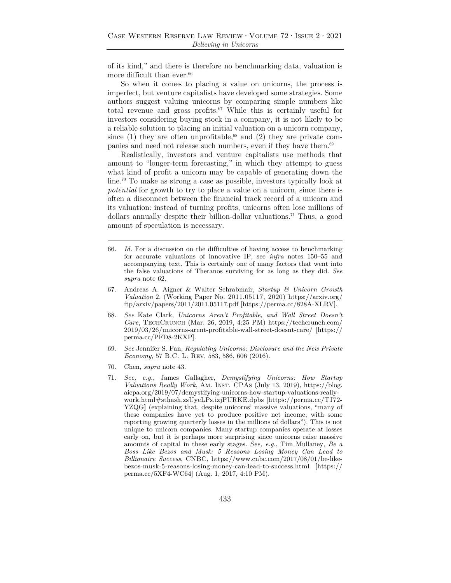of its kind," and there is therefore no benchmarking data, valuation is more difficult than ever. $^{66}\,$ 

So when it comes to placing a value on unicorns, the process is imperfect, but venture capitalists have developed some strategies. Some authors suggest valuing unicorns by comparing simple numbers like total revenue and gross profits.67 While this is certainly useful for investors considering buying stock in a company, it is not likely to be a reliable solution to placing an initial valuation on a unicorn company, since (1) they are often unprofitable,<sup>68</sup> and (2) they are private companies and need not release such numbers, even if they have them.<sup>69</sup>

Realistically, investors and venture capitalists use methods that amount to "longer-term forecasting," in which they attempt to guess what kind of profit a unicorn may be capable of generating down the line.70 To make as strong a case as possible, investors typically look at *potential* for growth to try to place a value on a unicorn, since there is often a disconnect between the financial track record of a unicorn and its valuation: instead of turning profits, unicorns often lose millions of dollars annually despite their billion-dollar valuations.71 Thus, a good amount of speculation is necessary.

- 66. *Id.* For a discussion on the difficulties of having access to benchmarking for accurate valuations of innovative IP, see *infra* notes 150–55 and accompanying text. This is certainly one of many factors that went into the false valuations of Theranos surviving for as long as they did. *See supra* note 62.
- 67. Andreas A. Aigner & Walter Schrabmair, *Startup & Unicorn Growth Valuation* 2, (Working Paper No. 2011.05117, 2020) https://arxiv.org/ ftp/arxiv/papers/2011/2011.05117.pdf [https://perma.cc/828A-XLRV].
- 68. *See* Kate Clark, *Unicorns Aren't Profitable, and Wall Street Doesn't Care*, TechCrunch (Mar. 26, 2019, 4:25 PM) https://techcrunch.com/ 2019/03/26/unicorns-arent-profitable-wall-street-doesnt-care/ [https:// perma.cc/PFD8-2KXP].
- 69. *See* Jennifer S. Fan, *Regulating Unicorns: Disclosure and the New Private Economy*, 57 B.C. L. Rev. 583, 586, 606 (2016).
- 70. Chen, *supra* note 43.
- 71. *See, e.g.*, James Gallagher, *Demystifying Unicorns: How Startup Valuations Really Work*, Am. Inst. CPAs (July 13, 2019), https://blog. aicpa.org/2019/07/demystifying-unicorns-how-startup-valuations-reallywork.html#sthash.zsUyeLPs.izjPURKE.dpbs [https://perma.cc/TJ72- YZQG**]** (explaining that, despite unicorns' massive valuations, "many of these companies have yet to produce positive net income, with some reporting growing quarterly losses in the millions of dollars"). This is not unique to unicorn companies. Many startup companies operate at losses early on, but it is perhaps more surprising since unicorns raise massive amounts of capital in these early stages. *See, e.g.*, Tim Mullaney, *Be a Boss Like Bezos and Musk: 5 Reasons Losing Money Can Lead to Billionaire Success*, CNBC, https://www.cnbc.com/2017/08/01/be-likebezos-musk-5-reasons-losing-money-can-lead-to-success.html [https:// perma.cc/5XF4-WC64] (Aug. 1, 2017, 4:10 PM).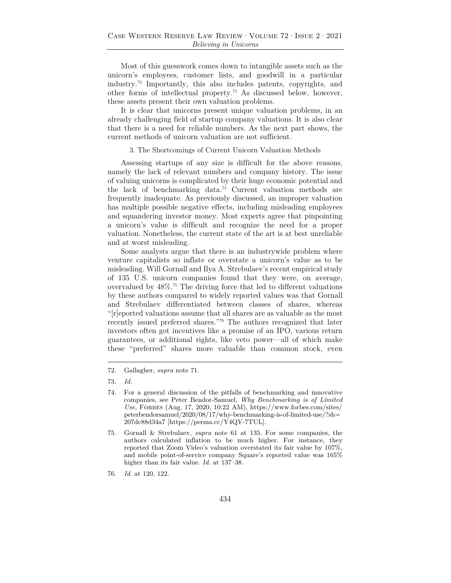Most of this guesswork comes down to intangible assets such as the unicorn's employees, customer lists, and goodwill in a particular industry.72 Importantly, this also includes patents, copyrights, and other forms of intellectual property.73 As discussed below, however, these assets present their own valuation problems.

It is clear that unicorns present unique valuation problems, in an already challenging field of startup company valuations. It is also clear that there is a need for reliable numbers. As the next part shows, the current methods of unicorn valuation are not sufficient.

#### 3. The Shortcomings of Current Unicorn Valuation Methods

Assessing startups of any size is difficult for the above reasons, namely the lack of relevant numbers and company history. The issue of valuing unicorns is complicated by their huge economic potential and the lack of benchmarking data.74 Current valuation methods are frequently inadequate. As previously discussed, an improper valuation has multiple possible negative effects, including misleading employees and squandering investor money. Most experts agree that pinpointing a unicorn's value is difficult and recognize the need for a proper valuation. Nonetheless, the current state of the art is at best unreliable and at worst misleading.

Some analysts argue that there is an industrywide problem where venture capitalists so inflate or overstate a unicorn's value as to be misleading. Will Gornall and Ilya A. Strebulaev's recent empirical study of 135 U.S. unicorn companies found that they were, on average, overvalued by  $48\%$ .<sup>75</sup> The driving force that led to different valuations by these authors compared to widely reported values was that Gornall and Strebulaev differentiated between classes of shares, whereas "[r]eported valuations assume that all shares are as valuable as the most recently issued preferred shares."76 The authors recognized that later investors often got incentives like a promise of an IPO, various return guarantees, or additional rights, like veto power—all of which make these "preferred" shares more valuable than common stock, even

<sup>72.</sup> Gallagher, *supra* note 71.

<sup>73.</sup> *Id.*

<sup>74</sup>*.* For a general discussion of the pitfalls of benchmarking and innovative companies, see Peter Bendor-Samuel, *Why Benchmarking is of Limited Use*, Forbes (Aug. 17, 2020, 10:22 AM), https://www.forbes.com/sites/ peterbendorsamuel/2020/08/17/why-benchmarking-is-of-limited-use/?sh= 207dc88d34a7 [https://perma.cc/Y4QY-7TUL].

<sup>75.</sup> Gornall & Strebulaev, *supra* note 61 at 135. For some companies, the authors calculated inflation to be much higher. For instance, they reported that Zoom Video's valuation overstated its fair value by 107%, and mobile point-of-service company Square's reported value was 165% higher than its fair value. *Id.* at 137–38.

<sup>76.</sup> *Id.* at 120, 122.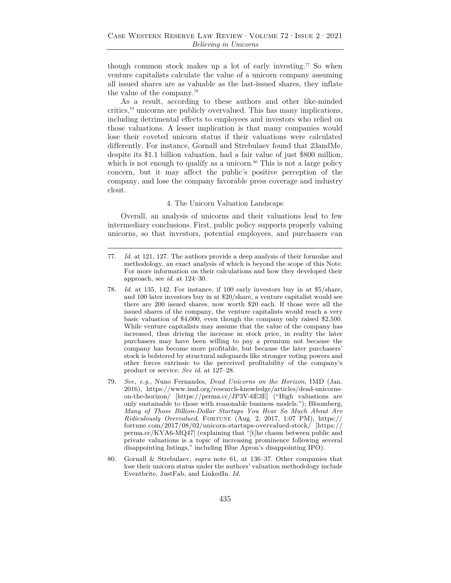though common stock makes up a lot of early investing.77 So when venture capitalists calculate the value of a unicorn company assuming all issued shares are as valuable as the last-issued shares, they inflate the value of the company.78

As a result, according to these authors and other like-minded critics,79 unicorns are publicly overvalued. This has many implications, including detrimental effects to employees and investors who relied on those valuations. A lesser implication is that many companies would lose their coveted unicorn status if their valuations were calculated differently. For instance, Gornall and Strebulaev found that 23andMe, despite its \$1.1 billion valuation, had a fair value of just \$800 million, which is not enough to qualify as a unicorn. $80$  This is not a large policy concern, but it may affect the public's positive perception of the company, and lose the company favorable press coverage and industry clout.

#### 4. The Unicorn Valuation Landscape

Overall, an analysis of unicorns and their valuations lead to few intermediary conclusions. First, public policy supports properly valuing unicorns, so that investors, potential employees, and purchasers can

- 78. *Id.* at 135, 142. For instance, if 100 early investors buy in at \$5/share, and 100 later investors buy in at \$20/share, a venture capitalist would see there are 200 issued shares, now worth \$20 each. If those were all the issued shares of the company, the venture capitalists would reach a very basic valuation of \$4,000, even though the company only raised \$2,500. While venture capitalists may assume that the value of the company has increased, thus driving the increase in stock price, in reality the later purchasers may have been willing to pay a premium not because the company has become more profitable, but because the later purchasers' stock is bolstered by structural safeguards like stronger voting powers and other forces extrinsic to the perceived profitability of the company's product or service. *See id.* at 127–28*.*
- 79. *See, e.g.*, Nuno Fernandes, *Dead Unicorns on the Horizon*, IMD (Jan. 2016), https://www.imd.org/research-knowledge/articles/dead-unicornson-the-horizon/ [https://perma.cc/JP3V-6E3E] ("High valuations are only sustainable to those with reasonable business models."); Bloomberg, *Many of Those Billion-Dollar Startups You Hear So Much About Are Ridiculously Overvalued*, Fortune (Aug. 2, 2017, 1:07 PM), https:// fortune.com/2017/08/02/unicorn-startups-overvalued-stock/ [https:// perma.cc/KYA6-MQ47] (explaining that "[t]he chasm between public and private valuations is a topic of increasing prominence following several disappointing listings," including Blue Apron's disappointing IPO).
- 80. Gornall & Strebulaev, *supra* note 61, at 136–37. Other companies that lose their unicorn status under the authors' valuation methodology include Eventbrite, JustFab, and LinkedIn. *Id*.

<sup>77.</sup> *Id.* at 121, 127*.* The authors provide a deep analysis of their formulae and methodology, an exact analysis of which is beyond the scope of this Note. For more information on their calculations and how they developed their approach, see *id.* at 124–30.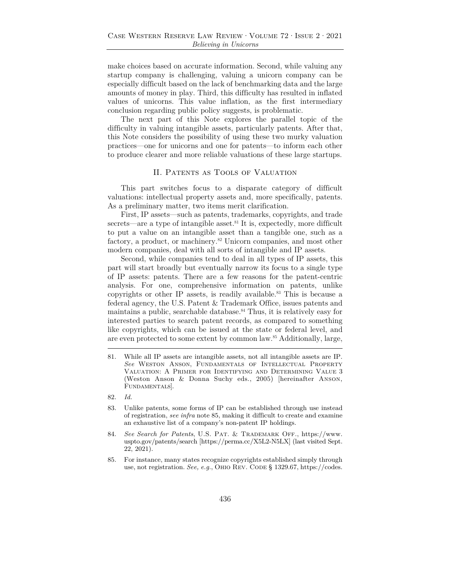make choices based on accurate information. Second, while valuing any startup company is challenging, valuing a unicorn company can be especially difficult based on the lack of benchmarking data and the large amounts of money in play. Third, this difficulty has resulted in inflated values of unicorns. This value inflation, as the first intermediary conclusion regarding public policy suggests, is problematic.

The next part of this Note explores the parallel topic of the difficulty in valuing intangible assets, particularly patents. After that, this Note considers the possibility of using these two murky valuation practices—one for unicorns and one for patents—to inform each other to produce clearer and more reliable valuations of these large startups.

#### II. Patents as Tools of Valuation

This part switches focus to a disparate category of difficult valuations: intellectual property assets and, more specifically, patents. As a preliminary matter, two items merit clarification.

First, IP assets—such as patents, trademarks, copyrights, and trade secrets—are a type of intangible asset.<sup>81</sup> It is, expectedly, more difficult to put a value on an intangible asset than a tangible one, such as a factory, a product, or machinery.<sup>82</sup> Unicorn companies, and most other modern companies, deal with all sorts of intangible and IP assets.

Second, while companies tend to deal in all types of IP assets, this part will start broadly but eventually narrow its focus to a single type of IP assets: patents. There are a few reasons for the patent-centric analysis. For one, comprehensive information on patents, unlike copyrights or other IP assets, is readily available.<sup>83</sup> This is because a federal agency, the U.S. Patent & Trademark Office, issues patents and maintains a public, searchable database.<sup>84</sup> Thus, it is relatively easy for interested parties to search patent records, as compared to something like copyrights, which can be issued at the state or federal level, and are even protected to some extent by common law.85 Additionally, large,

85. For instance, many states recognize copyrights established simply through use, not registration. *See, e.g.*, OHIO REV. CODE § 1329.67, https://codes.

<sup>81.</sup> While all IP assets are intangible assets, not all intangible assets are IP. *See* Weston Anson, Fundamentals of Intellectual Property Valuation: A Primer for Identifying and Determining Value 3 (Weston Anson & Donna Suchy eds., 2005) [hereinafter Anson, FUNDAMENTALS.

<sup>82.</sup> *Id.*

<sup>83.</sup> Unlike patents, some forms of IP can be established through use instead of registration, *see infra* note 85, making it difficult to create and examine an exhaustive list of a company's non-patent IP holdings.

<sup>84.</sup> *See Search for Patents*, U.S. Pat. & Trademark Off., https://www. uspto.gov/patents/search [https://perma.cc/X5L2-N5LX] (last visited Sept. 22, 2021).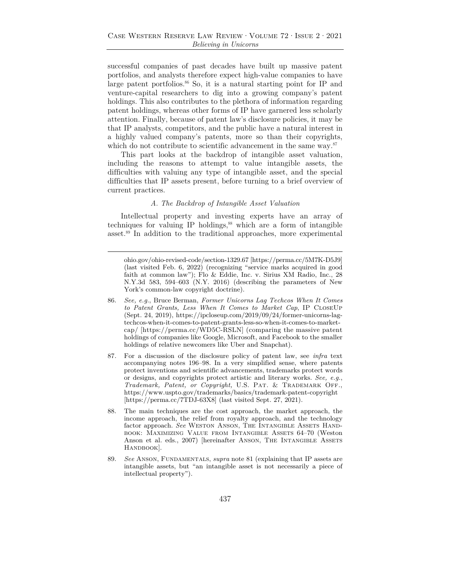successful companies of past decades have built up massive patent portfolios, and analysts therefore expect high-value companies to have large patent portfolios.<sup>86</sup> So, it is a natural starting point for IP and venture-capital researchers to dig into a growing company's patent holdings. This also contributes to the plethora of information regarding patent holdings, whereas other forms of IP have garnered less scholarly attention. Finally, because of patent law's disclosure policies, it may be that IP analysts, competitors, and the public have a natural interest in a highly valued company's patents, more so than their copyrights, which do not contribute to scientific advancement in the same way.<sup>87</sup>

This part looks at the backdrop of intangible asset valuation, including the reasons to attempt to value intangible assets, the difficulties with valuing any type of intangible asset, and the special difficulties that IP assets present, before turning to a brief overview of current practices.

#### *A. The Backdrop of Intangible Asset Valuation*

Intellectual property and investing experts have an array of techniques for valuing IP holdings, $88$  which are a form of intangible asset.89 In addition to the traditional approaches, more experimental

ohio.gov/ohio-revised-code/section-1329.67 [https://perma.cc/5M7K-D5J9] (last visited Feb. 6, 2022) (recognizing "service marks acquired in good faith at common law"); Flo & Eddie, Inc. v. Sirius XM Radio, Inc., 28 N.Y.3d 583, 594–603 (N.Y. 2016) (describing the parameters of New York's common-law copyright doctrine).

- 86. *See, e.g.*, Bruce Berman, *Former Unicorns Lag Techcos When It Comes to Patent Grants, Less When It Comes to Market Cap*, IP CloseUp (Sept. 24, 2019), https://ipcloseup.com/2019/09/24/former-unicorns-lagtechcos-when-it-comes-to-patent-grants-less-so-when-it-comes-to-marketcap/ [https://perma.cc/WD5C-RSLN] (comparing the massive patent holdings of companies like Google, Microsoft, and Facebook to the smaller holdings of relative newcomers like Uber and Snapchat).
- 87*.* For a discussion of the disclosure policy of patent law, see *infra* text accompanying notes 196–98. In a very simplified sense, where patents protect inventions and scientific advancements, trademarks protect words or designs, and copyrights protect artistic and literary works. *See, e.g.*, *Trademark, Patent, or Copyright,* U.S. Pat. & Trademark Off., https://www.uspto.gov/trademarks/basics/trademark-patent-copyright [https://perma.cc/7TDJ-63X8] (last visited Sept. 27, 2021).
- 88. The main techniques are the cost approach, the market approach, the income approach, the relief from royalty approach, and the technology factor approach. See WESTON ANSON, THE INTANGIBLE ASSETS HANDbook: Maximizing Value from Intangible Assets 64–70 (Weston Anson et al. eds., 2007) [hereinafter ANSON, THE INTANGIBLE ASSETS HANDBOOK].
- 89. *See* Anson, Fundamentals, *supra* note 81 (explaining that IP assets are intangible assets, but "an intangible asset is not necessarily a piece of intellectual property").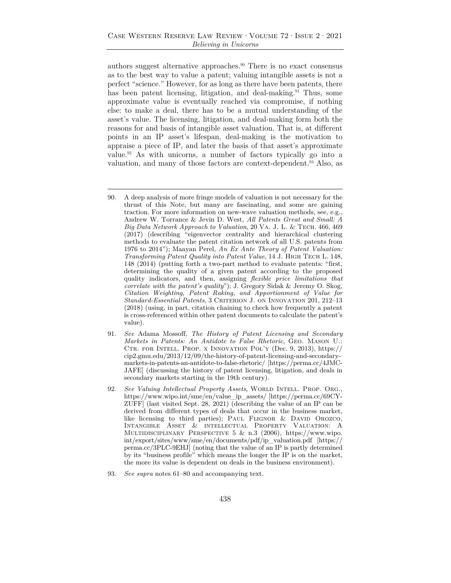authors suggest alternative approaches.90 There is no exact consensus as to the best way to value a patent; valuing intangible assets is not a perfect "science." However, for as long as there have been patents, there has been patent licensing, litigation, and deal-making.<sup>91</sup> Thus, some approximate value is eventually reached via compromise, if nothing else: to make a deal, there has to be a mutual understanding of the asset's value. The licensing, litigation, and deal-making form both the reasons for and basis of intangible asset valuation. That is, at different points in an IP asset's lifespan, deal-making is the motivation to appraise a piece of IP, and later the basis of that asset's approximate value.92 As with unicorns, a number of factors typically go into a valuation, and many of those factors are context-dependent.<sup>93</sup> Also, as

- 90. A deep analysis of more fringe models of valuation is not necessary for the thrust of this Note, but many are fascinating, and some are gaining traction. For more information on new-wave valuation methods, see, e.g., Andrew W. Torrance & Jevin D. West, *All Patents Great and Small: A Big Data Network Approach to Valuation*, 20 Va. J. L. & Tech. 466, 469 (2017) (describing "eigenvector centrality and hierarchical clustering methods to evaluate the patent citation network of all U.S. patents from 1976 to 2014"); Maayan Perel, *An Ex Ante Theory of Patent Valuation: Transforming Patent Quality into Patent Value*, 14 J. High Tech L. 148, 148 (2014) (putting forth a two-part method to evaluate patents: "first, determining the quality of a given patent according to the proposed quality indicators, and then, assigning *flexible price limitations that correlate with the patent's quality*"); J. Gregory Sidak & Jeremy O. Skog, *Citation Weighting, Patent Raking, and Apportionment of Value for Standard-Essential Patents*, 3 CRITERION J. ON INNOVATION 201, 212-13 (2018) (using, in part, citation chaining to check how frequently a patent is cross-referenced within other patent documents to calculate the patent's value).
- 91. *See* Adama Mossoff, *The History of Patent Licensing and Secondary Markets in Patents: An Antidote to False Rhetoric*, Geo. Mason U.: Ctr. for Intell. Prop. x Innovation Pol'y (Dec. 9, 2013), https:// cip2.gmu.edu/2013/12/09/the-history-of-patent-licensing-and-secondarymarkets-in-patents-an-antidote-to-false-rhetoric/ [https://perma.cc/4JMC-JAFE] (discussing the history of patent licensing, litigation, and deals in secondary markets starting in the 19th century).
- 92. *See Valuing Intellectual Property Assets*, WORLD INTELL. PROP. ORG., https://www.wipo.int/sme/en/value\_ip\_assets/ [https://perma.cc/69CY-ZUFF] (last visited Sept. 28, 2021) (describing the value of an IP can be derived from different types of deals that occur in the business market, like licensing to third parties); PAUL FLIGNOR & DAVID OROZCO, Intangible Asset & intellectual Property Valuation: A Multidisciplinary Perspective 5 & n.3 (2006)*,* https://www.wipo. int/export/sites/www/sme/en/documents/pdf/ip\_valuation.pdf [https:// perma.cc/3PLC-9EHJ] (noting that the value of an IP is partly determined by its "business profile" which means the longer the IP is on the market, the more its value is dependent on deals in the business environment).
- 93. *See supra* notes 61–80 and accompanying text.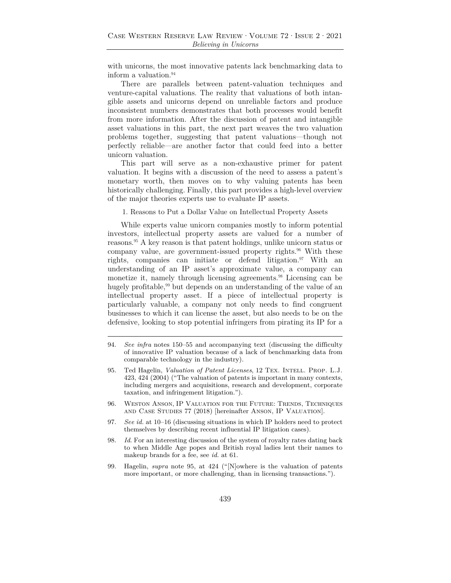with unicorns, the most innovative patents lack benchmarking data to inform a valuation.<sup>94</sup>

There are parallels between patent-valuation techniques and venture-capital valuations. The reality that valuations of both intangible assets and unicorns depend on unreliable factors and produce inconsistent numbers demonstrates that both processes would benefit from more information. After the discussion of patent and intangible asset valuations in this part, the next part weaves the two valuation problems together, suggesting that patent valuations—though not perfectly reliable—are another factor that could feed into a better unicorn valuation.

This part will serve as a non-exhaustive primer for patent valuation. It begins with a discussion of the need to assess a patent's monetary worth, then moves on to why valuing patents has been historically challenging. Finally, this part provides a high-level overview of the major theories experts use to evaluate IP assets.

1. Reasons to Put a Dollar Value on Intellectual Property Assets

While experts value unicorn companies mostly to inform potential investors, intellectual property assets are valued for a number of reasons.95 A key reason is that patent holdings, unlike unicorn status or company value, are government-issued property rights.<sup>96</sup> With these rights, companies can initiate or defend litigation.<sup>97</sup> With an understanding of an IP asset's approximate value, a company can monetize it, namely through licensing agreements.<sup>98</sup> Licensing can be hugely profitable,<sup>99</sup> but depends on an understanding of the value of an intellectual property asset. If a piece of intellectual property is particularly valuable, a company not only needs to find congruent businesses to which it can license the asset, but also needs to be on the defensive, looking to stop potential infringers from pirating its IP for a

- 96. Weston Anson, IP Valuation for the Future: Trends, Techniques and Case Studies 77 (2018) [hereinafter Anson, IP Valuation].
- 97. *See id.* at 10–16 (discussing situations in which IP holders need to protect themselves by describing recent influential IP litigation cases).
- 98. *Id*. For an interesting discussion of the system of royalty rates dating back to when Middle Age popes and British royal ladies lent their names to makeup brands for a fee, see *id.* at 61.
- 99. Hagelin, *supra* note 95, at 424 ("[N]owhere is the valuation of patents more important, or more challenging, than in licensing transactions.").

<sup>94.</sup> *See infra* notes 150–55 and accompanying text (discussing the difficulty of innovative IP valuation because of a lack of benchmarking data from comparable technology in the industry).

<sup>95.</sup> Ted Hagelin, *Valuation of Patent Licenses*, 12 Tex. Intell. Prop. L.J. 423, 424 (2004) ("The valuation of patents is important in many contexts, including mergers and acquisitions, research and development, corporate taxation, and infringement litigation.").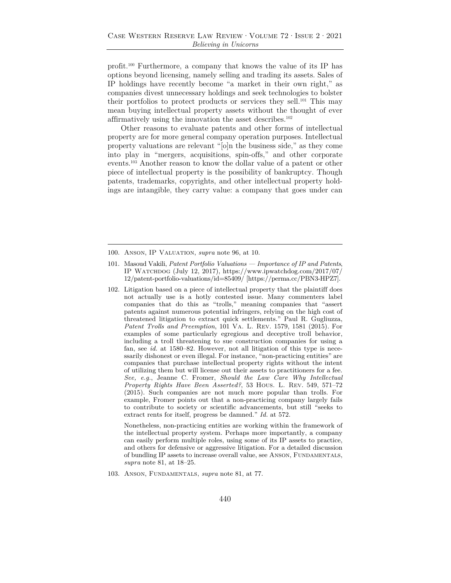profit.100 Furthermore, a company that knows the value of its IP has options beyond licensing, namely selling and trading its assets. Sales of IP holdings have recently become "a market in their own right," as companies divest unnecessary holdings and seek technologies to bolster their portfolios to protect products or services they sell.101 This may mean buying intellectual property assets without the thought of ever affirmatively using the innovation the asset describes.<sup>102</sup>

Other reasons to evaluate patents and other forms of intellectual property are for more general company operation purposes. Intellectual property valuations are relevant "[o]n the business side," as they come into play in "mergers, acquisitions, spin-offs," and other corporate events.103 Another reason to know the dollar value of a patent or other piece of intellectual property is the possibility of bankruptcy. Though patents, trademarks, copyrights, and other intellectual property holdings are intangible, they carry value: a company that goes under can

 Nonetheless, non-practicing entities are working within the framework of the intellectual property system. Perhaps more importantly, a company can easily perform multiple roles, using some of its IP assets to practice, and others for defensive or aggressive litigation. For a detailed discussion of bundling IP assets to increase overall value, see Anson, Fundamentals, *supra* note 81, at 18–25.

103. Anson, Fundamentals, *supra* note 81, at 77.

<sup>100.</sup> Anson, IP Valuation, *supra* note 96, at 10.

<sup>101.</sup> Masoud Vakili, *Patent Portfolio Valuations — Importance of IP and Patents*, IP Watchdog (July 12, 2017), https://www.ipwatchdog.com/2017/07/ 12/patent-portfolio-valuations/id=85409/ [https://perma.cc/PBN3-HPZ7].

<sup>102.</sup> Litigation based on a piece of intellectual property that the plaintiff does not actually use is a hotly contested issue. Many commenters label companies that do this as "trolls," meaning companies that "assert patents against numerous potential infringers, relying on the high cost of threatened litigation to extract quick settlements." Paul R. Gugliuzza, *Patent Trolls and Preemption*, 101 Va. L. Rev. 1579, 1581 (2015). For examples of some particularly egregious and deceptive troll behavior, including a troll threatening to sue construction companies for using a fan, see *id.* at 1580–82. However, not all litigation of this type is necessarily dishonest or even illegal. For instance, "non-practicing entities" are companies that purchase intellectual property rights without the intent of utilizing them but will license out their assets to practitioners for a fee. *See, e.g.*, Jeanne C. Fromer, *Should the Law Care Why Intellectual Property Rights Have Been Asserted?*, 53 Hous. L. Rev. 549, 571–72 (2015). Such companies are not much more popular than trolls. For example, Fromer points out that a non-practicing company largely fails to contribute to society or scientific advancements, but still "seeks to extract rents for itself, progress be damned." *Id.* at 572.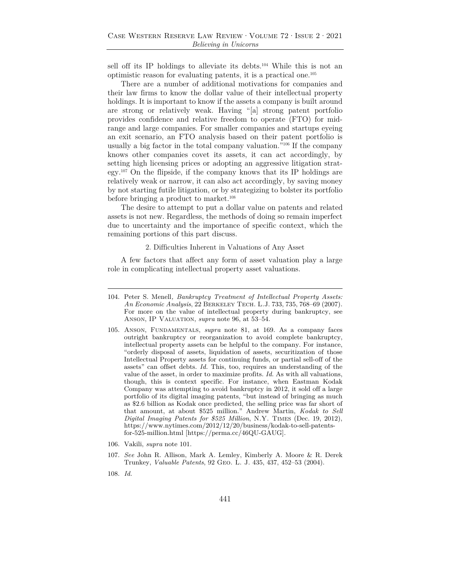sell off its IP holdings to alleviate its debts.<sup>104</sup> While this is not an optimistic reason for evaluating patents, it is a practical one.105

There are a number of additional motivations for companies and their law firms to know the dollar value of their intellectual property holdings. It is important to know if the assets a company is built around are strong or relatively weak. Having "[a] strong patent portfolio provides confidence and relative freedom to operate (FTO) for midrange and large companies. For smaller companies and startups eyeing an exit scenario, an FTO analysis based on their patent portfolio is usually a big factor in the total company valuation."106 If the company knows other companies covet its assets, it can act accordingly, by setting high licensing prices or adopting an aggressive litigation strategy.107 On the flipside, if the company knows that its IP holdings are relatively weak or narrow, it can also act accordingly, by saving money by not starting futile litigation, or by strategizing to bolster its portfolio before bringing a product to market.<sup>108</sup>

The desire to attempt to put a dollar value on patents and related assets is not new. Regardless, the methods of doing so remain imperfect due to uncertainty and the importance of specific context, which the remaining portions of this part discuss.

#### 2. Difficulties Inherent in Valuations of Any Asset

A few factors that affect any form of asset valuation play a large role in complicating intellectual property asset valuations.

- 105. Anson, Fundamentals, *supra* note 81, at 169. As a company faces outright bankruptcy or reorganization to avoid complete bankruptcy, intellectual property assets can be helpful to the company. For instance, "orderly disposal of assets, liquidation of assets, securitization of those Intellectual Property assets for continuing funds, or partial sell-off of the assets" can offset debts. *Id.* This, too, requires an understanding of the value of the asset, in order to maximize profits. *Id.* As with all valuations, though, this is context specific. For instance, when Eastman Kodak Company was attempting to avoid bankruptcy in 2012, it sold off a large portfolio of its digital imaging patents, "but instead of bringing as much as \$2.6 billion as Kodak once predicted, the selling price was far short of that amount, at about \$525 million." Andrew Martin, *Kodak to Sell Digital Imaging Patents for \$525 Million*, N.Y. Times (Dec. 19, 2012), https://www.nytimes.com/2012/12/20/business/kodak-to-sell-patentsfor-525-million.html [https://perma.cc/46QU-GAUG].
- 106. Vakili, *supra* note 101.
- 107. *See* John R. Allison, Mark A. Lemley, Kimberly A. Moore & R. Derek Trunkey, *Valuable Patents*, 92 Geo. L. J. 435, 437, 452–53 (2004).
- 108. *Id.*

<sup>104.</sup> Peter S. Menell*, Bankruptcy Treatment of Intellectual Property Assets: An Economic Analysis*, 22 Berkeley Tech. L.J. 733, 735, 768–69 (2007). For more on the value of intellectual property during bankruptcy, see Anson, IP Valuation, *supra* note 96, at 53–54.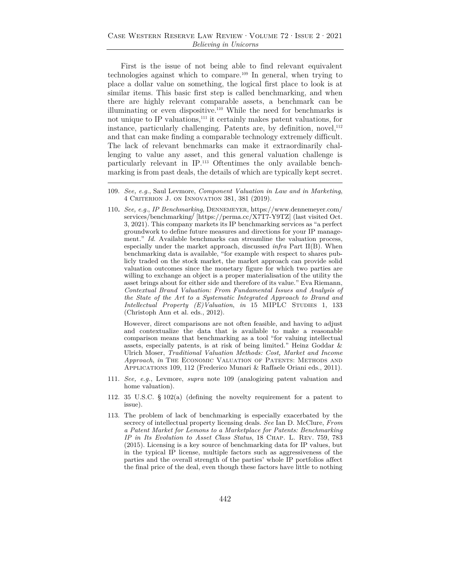First is the issue of not being able to find relevant equivalent technologies against which to compare.109 In general, when trying to place a dollar value on something, the logical first place to look is at similar items. This basic first step is called benchmarking, and when there are highly relevant comparable assets, a benchmark can be illuminating or even dispositive.110 While the need for benchmarks is not unique to IP valuations,111 it certainly makes patent valuations, for instance, particularly challenging. Patents are, by definition, novel, $^{112}$ and that can make finding a comparable technology extremely difficult. The lack of relevant benchmarks can make it extraordinarily challenging to value any asset, and this general valuation challenge is particularly relevant in IP.113 Oftentimes the only available benchmarking is from past deals, the details of which are typically kept secret.

110. *See, e.g.*, *IP Benchmarking*, Dennemeyer, https://www.dennemeyer.com/ services/benchmarking/ [https://perma.cc/X7T7-Y9TZ] (last visited Oct. 3, 2021). This company markets its IP benchmarking services as "a perfect groundwork to define future measures and directions for your IP management." *Id.* Available benchmarks can streamline the valuation process, especially under the market approach, discussed *infra* Part II(B). When benchmarking data is available, "for example with respect to shares publicly traded on the stock market, the market approach can provide solid valuation outcomes since the monetary figure for which two parties are willing to exchange an object is a proper materialisation of the utility the asset brings about for either side and therefore of its value." Eva Riemann, *Contextual Brand Valuation: From Fundamental Issues and Analysis of the State of the Art to a Systematic Integrated Approach to Brand and Intellectual Property (E)Valuation, in* 15 MIPLC STUDIES 1, 133 (Christoph Ann et al. eds., 2012).

 However, direct comparisons are not often feasible, and having to adjust and contextualize the data that is available to make a reasonable comparison means that benchmarking as a tool "for valuing intellectual assets, especially patents, is at risk of being limited." Heinz Goddar & Ulrich Moser, *Traditional Valuation Methods: Cost, Market and Income Approach*, *in* The Economic Valuation of Patents: Methods and Applications 109, 112 (Frederico Munari & Raffaele Oriani eds., 2011).

- 111. *See, e.g.*, Levmore, *supra* note 109 (analogizing patent valuation and home valuation).
- 112. 35 U.S.C. § 102(a) (defining the novelty requirement for a patent to issue).
- 113. The problem of lack of benchmarking is especially exacerbated by the secrecy of intellectual property licensing deals. *See* Ian D. McClure, *From a Patent Market for Lemons to a Marketplace for Patents: Benchmarking IP in Its Evolution to Asset Class Status*, 18 Chap. L. Rev. 759, 783 (2015). Licensing is a key source of benchmarking data for IP values, but in the typical IP license, multiple factors such as aggressiveness of the parties and the overall strength of the parties' whole IP portfolios affect the final price of the deal, even though these factors have little to nothing

<sup>109.</sup> *See, e.g.*, Saul Levmore, *Component Valuation in Law and in Marketing*, 4 Criterion J. on Innovation 381, 381 (2019).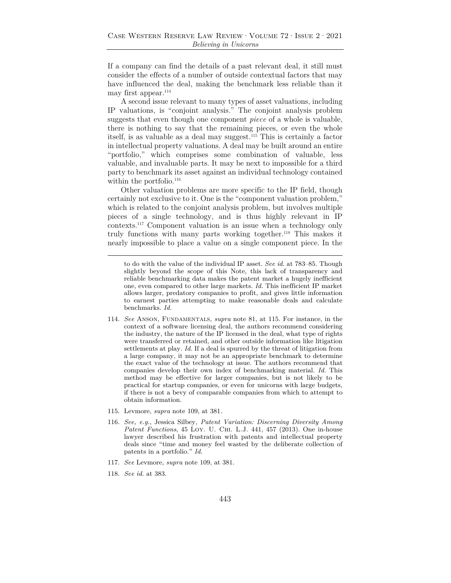If a company can find the details of a past relevant deal, it still must consider the effects of a number of outside contextual factors that may have influenced the deal, making the benchmark less reliable than it may first appear.114

A second issue relevant to many types of asset valuations, including IP valuations, is "conjoint analysis." The conjoint analysis problem suggests that even though one component *piece* of a whole is valuable, there is nothing to say that the remaining pieces, or even the whole itself, is as valuable as a deal may suggest.115 This is certainly a factor in intellectual property valuations. A deal may be built around an entire "portfolio," which comprises some combination of valuable, less valuable, and invaluable parts. It may be next to impossible for a third party to benchmark its asset against an individual technology contained within the portfolio.<sup>116</sup>

Other valuation problems are more specific to the IP field, though certainly not exclusive to it. One is the "component valuation problem," which is related to the conjoint analysis problem, but involves multiple pieces of a single technology, and is thus highly relevant in IP contexts.117 Component valuation is an issue when a technology only truly functions with many parts working together.118 This makes it nearly impossible to place a value on a single component piece. In the

to do with the value of the individual IP asset. *See id.* at 783–85. Though slightly beyond the scope of this Note, this lack of transparency and reliable benchmarking data makes the patent market a hugely inefficient one, even compared to other large markets. *Id.* This inefficient IP market allows larger, predatory companies to profit, and gives little information to earnest parties attempting to make reasonable deals and calculate benchmarks. *Id.*

- 114. *See* Anson, Fundamentals, *supra* note 81, at 115. For instance, in the context of a software licensing deal, the authors recommend considering the industry, the nature of the IP licensed in the deal, what type of rights were transferred or retained, and other outside information like litigation settlements at play. *Id.* If a deal is spurred by the threat of litigation from a large company, it may not be an appropriate benchmark to determine the exact value of the technology at issue. The authors recommend that companies develop their own index of benchmarking material. *Id.* This method may be effective for larger companies, but is not likely to be practical for startup companies, or even for unicorns with large budgets, if there is not a bevy of comparable companies from which to attempt to obtain information.
- 115. Levmore, *supra* note 109, at 381*.*
- 116. *See, e.g.*, Jessica Silbey*, Patent Variation: Discerning Diversity Among Patent Functions*, 45 Loy. U. Chi. L.J. 441, 457 (2013). One in-house lawyer described his frustration with patents and intellectual property deals since "time and money feel wasted by the deliberate collection of patents in a portfolio." *Id.*
- 117. *See* Levmore, *supra* note 109, at 381.
- 118. *See id.* at 383.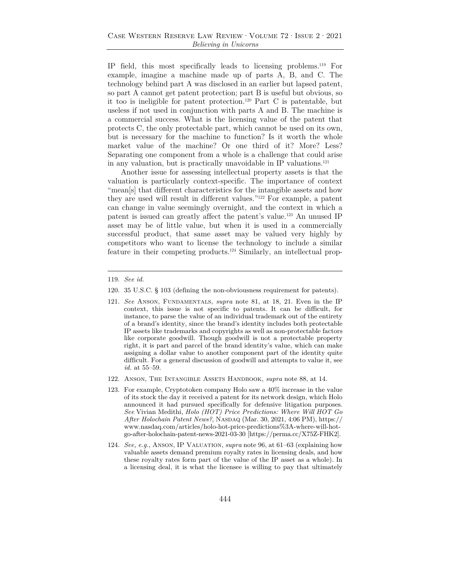IP field, this most specifically leads to licensing problems.119 For example, imagine a machine made up of parts A, B, and C. The technology behind part A was disclosed in an earlier but lapsed patent, so part A cannot get patent protection; part B is useful but obvious, so it too is ineligible for patent protection.120 Part C is patentable, but useless if not used in conjunction with parts A and B. The machine is a commercial success. What is the licensing value of the patent that protects C, the only protectable part, which cannot be used on its own, but is necessary for the machine to function? Is it worth the whole market value of the machine? Or one third of it? More? Less? Separating one component from a whole is a challenge that could arise in any valuation, but is practically unavoidable in IP valuations.121

Another issue for assessing intellectual property assets is that the valuation is particularly context-specific. The importance of context "mean[s] that different characteristics for the intangible assets and how they are used will result in different values."122 For example, a patent can change in value seemingly overnight, and the context in which a patent is issued can greatly affect the patent's value.123 An unused IP asset may be of little value, but when it is used in a commercially successful product, that same asset may be valued very highly by competitors who want to license the technology to include a similar feature in their competing products.124 Similarly, an intellectual prop-

<sup>119.</sup> *See id.*

<sup>120. 35</sup> U.S.C. § 103 (defining the non-obviousness requirement for patents).

<sup>121.</sup> *See* Anson, Fundamentals, *supra* note 81, at 18, 21. Even in the IP context, this issue is not specific to patents. It can be difficult, for instance, to parse the value of an individual trademark out of the entirety of a brand's identity, since the brand's identity includes both protectable IP assets like trademarks and copyrights as well as non-protectable factors like corporate goodwill. Though goodwill is not a protectable property right, it is part and parcel of the brand identity's value, which can make assigning a dollar value to another component part of the identity quite difficult. For a general discussion of goodwill and attempts to value it, see *id.* at 55–59.

<sup>122.</sup> Anson, The Intangible Assets Handbook, *supra* note 88, at 14.

<sup>123.</sup> For example, Cryptotoken company Holo saw a 40% increase in the value of its stock the day it received a patent for its network design, which Holo announced it had pursued specifically for defensive litigation purposes. *See* Vivian Medithi, *Holo (HOT) Price Predictions: Where Will HOT Go After Holochain Patent News?*, Nasdaq (Mar. 30, 2021, 4:06 PM), https:// www.nasdaq.com/articles/holo-hot-price-predictions%3A-where-will-hotgo-after-holochain-patent-news-2021-03-30 [https://perma.cc/X75Z-FHK2].

<sup>124.</sup> *See, e.g.*, Anson, IP Valuation, *supra* note 96, at 61–63 (explaining how valuable assets demand premium royalty rates in licensing deals, and how these royalty rates form part of the value of the IP asset as a whole). In a licensing deal, it is what the licensee is willing to pay that ultimately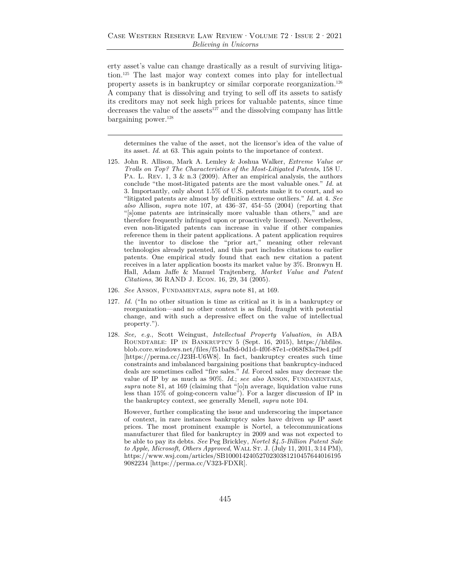erty asset's value can change drastically as a result of surviving litigation.125 The last major way context comes into play for intellectual property assets is in bankruptcy or similar corporate reorganization.126 A company that is dissolving and trying to sell off its assets to satisfy its creditors may not seek high prices for valuable patents, since time decreases the value of the assets<sup>127</sup> and the dissolving company has little bargaining power.128

determines the value of the asset, not the licensor's idea of the value of its asset. *Id.* at 63. This again points to the importance of context.

- 125. John R. Allison, Mark A. Lemley & Joshua Walker, *Extreme Value or Trolls on Top? The Characteristics of the Most-Litigated Patents*, 158 U. PA. L. Rev. 1, 3 & n.3 (2009). After an empirical analysis, the authors conclude "the most-litigated patents are the most valuable ones." *Id.* at 3. Importantly, only about 1.5% of U.S. patents make it to court, and so "litigated patents are almost by definition extreme outliers." *Id.* at 4. *See also* Allison, *supra* note 107, at 436–37, 454–55 (2004) (reporting that "[s]ome patents are intrinsically more valuable than others," and are therefore frequently infringed upon or proactively licensed). Nevertheless, even non-litigated patents can increase in value if other companies reference them in their patent applications. A patent application requires the inventor to disclose the "prior art," meaning other relevant technologies already patented, and this part includes citations to earlier patents. One empirical study found that each new citation a patent receives in a later application boosts its market value by 3%. Bronwyn H. Hall, Adam Jaffe & Manuel Trajtenberg, *Market Value and Patent Citations*, 36 RAND J. Econ. 16, 29, 34 (2005).
- 126. *See* Anson, Fundamentals, *supra* note 81, at 169.
- 127. *Id.* ("In no other situation is time as critical as it is in a bankruptcy or reorganization—and no other context is as fluid, fraught with potential change, and with such a depressive effect on the value of intellectual property.").
- 128. *See, e.g.*, Scott Weingust, *Intellectual Property Valuation*, *in* ABA Roundtable: IP in Bankruptcy 5 (Sept. 16, 2015), https://hbfiles. blob.core.windows.net/files/f51baf8d-0d1d-4f0f-87e1-c068f83a79e4.pdf [https://perma.cc/J23H-U6W8]. In fact, bankruptcy creates such time constraints and imbalanced bargaining positions that bankruptcy-induced deals are sometimes called "fire sales." *Id.* Forced sales may decrease the value of IP by as much as 90%. *Id.*; *see also* Anson, Fundamentals, *supra* note 81, at 169 (claiming that "[o]n average, liquidation value runs less than 15% of going-concern value"). For a larger discussion of IP in the bankruptcy context, see generally Menell, *supra* note 104.

 However, further complicating the issue and underscoring the importance of context, in rare instances bankruptcy sales have driven *up* IP asset prices. The most prominent example is Nortel, a telecommunications manufacturer that filed for bankruptcy in 2009 and was not expected to be able to pay its debts. *See* Peg Brickley, *Nortel \$4.5-Billion Patent Sale*  to Apple, Microsoft, Others Approved, WALL ST. J. (July 11, 2011, 3:14 PM), https://www.wsj.com/articles/SB1000142405270230381210457644016195 9082234 [https://perma.cc/V323-FDXR].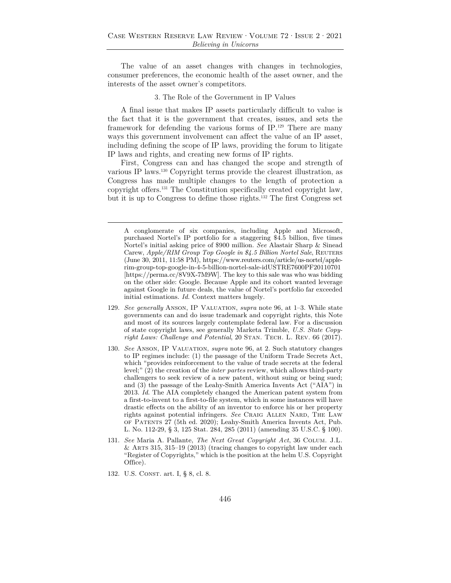The value of an asset changes with changes in technologies, consumer preferences, the economic health of the asset owner, and the interests of the asset owner's competitors.

### 3. The Role of the Government in IP Values

A final issue that makes IP assets particularly difficult to value is the fact that it is the government that creates, issues, and sets the framework for defending the various forms of IP.129 There are many ways this government involvement can affect the value of an IP asset, including defining the scope of IP laws, providing the forum to litigate IP laws and rights, and creating new forms of IP rights.

First, Congress can and has changed the scope and strength of various IP laws.130 Copyright terms provide the clearest illustration, as Congress has made multiple changes to the length of protection a copyright offers.131 The Constitution specifically created copyright law, but it is up to Congress to define those rights.132 The first Congress set

- 129. *See generally* Anson, IP Valuation, *supra* note 96, at 1–3. While state governments can and do issue trademark and copyright rights, this Note and most of its sources largely contemplate federal law. For a discussion of state copyright laws, see generally Marketa Trimble, *U.S. State Copyright Laws: Challenge and Potential*, 20 STAN. TECH. L. REV. 66 (2017).
- 130. *See* Anson, IP Valuation, *supra* note 96, at 2. Such statutory changes to IP regimes include: (1) the passage of the Uniform Trade Secrets Act, which "provides reinforcement to the value of trade secrets at the federal level;" (2) the creation of the *inter partes* review, which allows third-party challengers to seek review of a new patent, without suing or being sued; and (3) the passage of the Leahy-Smith America Invents Act ("AIA") in 2013. *Id.* The AIA completely changed the American patent system from a first-to-invent to a first-to-file system, which in some instances will have drastic effects on the ability of an inventor to enforce his or her property rights against potential infringers. *See* Craig Allen Nard, The Law of Patents 27 (5th ed. 2020); Leahy-Smith America Invents Act, Pub. L. No. 112-29, § 3, 125 Stat. 284, 285 (2011) (amending 35 U.S.C. § 100).
- 131. *See* Maria A. Pallante, *The Next Great Copyright Act*, 36 Colum. J.L.  $&$  ARTS 315, 315–19 (2013) (tracing changes to copyright law under each "Register of Copyrights," which is the position at the helm U.S. Copyright Office).
- 132. U.S. CONST. art. I, § 8, cl. 8.

A conglomerate of six companies, including Apple and Microsoft, purchased Nortel's IP portfolio for a staggering \$4.5 billion, five times Nortel's initial asking price of \$900 million. *See* Alastair Sharp & Sinead Carew, *Apple/RIM Group Top Google in \$4.5 Billion Nortel Sale*, REUTERS (June 30, 2011, 11:58 PM), https://www.reuters.com/article/us-nortel/applerim-group-top-google-in-4-5-billion-nortel-sale-idUSTRE7600PF20110701 [https://perma.cc/8V9X-7M9W]. The key to this sale was who was bidding on the other side: Google. Because Apple and its cohort wanted leverage against Google in future deals, the value of Nortel's portfolio far exceeded initial estimations. *Id.* Context matters hugely.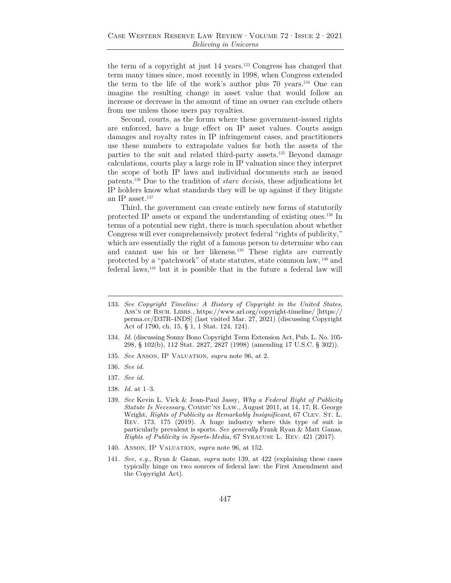the term of a copyright at just 14 years.133 Congress has changed that term many times since, most recently in 1998, when Congress extended the term to the life of the work's author plus 70 years.134 One can imagine the resulting change in asset value that would follow an increase or decrease in the amount of time an owner can exclude others from use unless those users pay royalties.

Second, courts, as the forum where these government-issued rights are enforced, have a huge effect on IP asset values. Courts assign damages and royalty rates in IP infringement cases, and practitioners use these numbers to extrapolate values for both the assets of the parties to the suit and related third-party assets.135 Beyond damage calculations, courts play a large role in IP valuation since they interpret the scope of both IP laws and individual documents such as issued patents.136 Due to the tradition of *stare decisis*, these adjudications let IP holders know what standards they will be up against if they litigate an IP asset. $137$ 

Third, the government can create entirely new forms of statutorily protected IP assets or expand the understanding of existing ones.138 In terms of a potential new right, there is much speculation about whether Congress will ever comprehensively protect federal "rights of publicity," which are essentially the right of a famous person to determine who can and cannot use his or her likeness.139 These rights are currently protected by a "patchwork" of state statutes, state common law, 140 and federal laws,141 but it is possible that in the future a federal law will

- 135. *See* Anson, IP Valuation, *supra* note 96, at 2.
- 136. *See id.*
- 137. *See id.*
- 138. *Id.* at 1–3.
- 139. *See* Kevin L. Vick & Jean-Paul Jassy, *Why a Federal Right of Publicity Statute Is Necessary*, Commc'ns Law., August 2011, at 14, 17; R. George Wright, *Rights of Publicity as Remarkably Insignificant*, 67 CLEV. ST. L. Rev. 173, 175 (2019). A huge industry where this type of suit is particularly prevalent is sports. *See generally* Frank Ryan & Matt Ganas, *Rights of Publicity in Sports-Media*, 67 Syracuse L. Rev. 421 (2017).
- 140. Anson, IP Valuation, *supra* note 96, at 152.
- 141. *See, e.g.*, Ryan & Ganas, *supra* note 139, at 422 (explaining these cases typically hinge on two sources of federal law: the First Amendment and the Copyright Act).

<sup>133.</sup> *See Copyright Timeline: A History of Copyright in the United States*, Ass'n of Rsch. Librs., https://www.arl.org/copyright-timeline/ [https:// perma.cc/D37R-4NDS] (last visited Mar. 27, 2021) (discussing Copyright Act of 1790, ch. 15, § 1, 1 Stat. 124, 124).

<sup>134.</sup> *Id.* (discussing Sonny Bono Copyright Term Extension Act, Pub. L. No. 105- 298, § 102(b), 112 Stat. 2827, 2827 (1998) (amending 17 U.S.C. § 302)).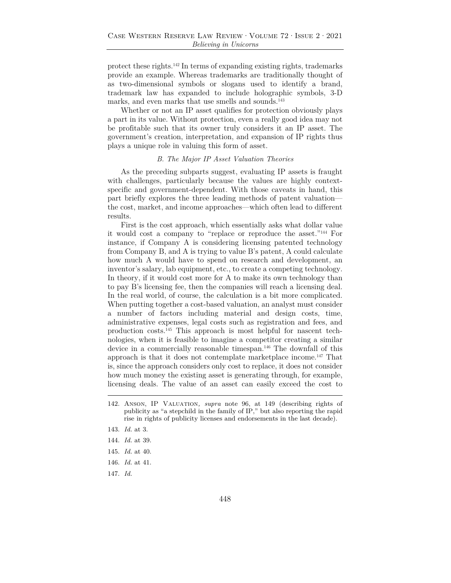protect these rights.142 In terms of expanding existing rights, trademarks provide an example. Whereas trademarks are traditionally thought of as two-dimensional symbols or slogans used to identify a brand, trademark law has expanded to include holographic symbols, 3-D marks, and even marks that use smells and sounds.<sup>143</sup>

Whether or not an IP asset qualifies for protection obviously plays a part in its value. Without protection, even a really good idea may not be profitable such that its owner truly considers it an IP asset. The government's creation, interpretation, and expansion of IP rights thus plays a unique role in valuing this form of asset.

#### *B. The Major IP Asset Valuation Theories*

As the preceding subparts suggest, evaluating IP assets is fraught with challenges, particularly because the values are highly contextspecific and government-dependent. With those caveats in hand, this part briefly explores the three leading methods of patent valuation the cost, market, and income approaches—which often lead to different results.

First is the cost approach, which essentially asks what dollar value it would cost a company to "replace or reproduce the asset."144 For instance, if Company A is considering licensing patented technology from Company B, and A is trying to value B's patent, A could calculate how much A would have to spend on research and development, an inventor's salary, lab equipment, etc., to create a competing technology. In theory, if it would cost more for A to make its own technology than to pay B's licensing fee, then the companies will reach a licensing deal. In the real world, of course, the calculation is a bit more complicated. When putting together a cost-based valuation, an analyst must consider a number of factors including material and design costs, time, administrative expenses, legal costs such as registration and fees, and production costs.145 This approach is most helpful for nascent technologies, when it is feasible to imagine a competitor creating a similar device in a commercially reasonable timespan.<sup>146</sup> The downfall of this approach is that it does not contemplate marketplace income.<sup>147</sup> That is, since the approach considers only cost to replace, it does not consider how much money the existing asset is generating through, for example, licensing deals. The value of an asset can easily exceed the cost to

- 145. *Id.* at 40.
- 146. *Id.* at 41.
- 147. *Id.*

<sup>142.</sup> Anson, IP Valuation*, supra* note 96, at 149 (describing rights of publicity as "a stepchild in the family of IP," but also reporting the rapid rise in rights of publicity licenses and endorsements in the last decade).

<sup>143.</sup> *Id.* at 3.

<sup>144.</sup> *Id.* at 39.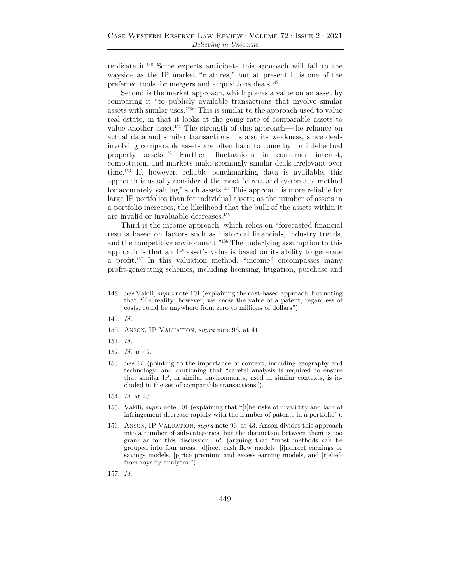replicate it.148 Some experts anticipate this approach will fall to the wayside as the IP market "matures," but at present it is one of the preferred tools for mergers and acquisitions deals. $^{149}$ 

Second is the market approach, which places a value on an asset by comparing it "to publicly available transactions that involve similar assets with similar uses."150 This is similar to the approach used to value real estate, in that it looks at the going rate of comparable assets to value another asset.151 The strength of this approach—the reliance on actual data and similar transactions—is also its weakness, since deals involving comparable assets are often hard to come by for intellectual property assets.152 Further, fluctuations in consumer interest, competition, and markets make seemingly similar deals irrelevant over time.153 If, however, reliable benchmarking data is available, this approach is usually considered the most "direct and systematic method for accurately valuing" such assets.154 This approach is more reliable for large IP portfolios than for individual assets; as the number of assets in a portfolio increases, the likelihood that the bulk of the assets within it are invalid or invaluable decreases.155

Third is the income approach, which relies on "forecasted financial results based on factors such as historical financials, industry trends, and the competitive environment."156 The underlying assumption to this approach is that an IP asset's value is based on its ability to generate a profit.157 In this valuation method, "income" encompasses many profit-generating schemes, including licensing, litigation, purchase and

- 150. Anson, IP Valuation, *supra* note 96, at 41.
- 151. *Id.*
- 152. *Id.* at 42.
- 153. *See id.* (pointing to the importance of context, including geography and technology, and cautioning that "careful analysis is required to ensure that similar IP, in similar environments, used in similar contexts, is included in the set of comparable transactions").
- 154. *Id.* at 43.
- 155. Vakili, *supra* note 101 (explaining that "[t]he risks of invalidity and lack of infringement decrease rapidly with the number of patents in a portfolio").
- 156. Anson, IP Valuation, *supra* note 96, at 43. Anson divides this approach into a number of sub-categories, but the distinction between them is too granular for this discussion. *Id.* (arguing that "most methods can be grouped into four areas: [d]irect cash flow models, [i]ndirect earnings or savings models, [p]rice premium and excess earning models, and [r]elieffrom-royalty analyses.").
- 157. *Id.*

<sup>148.</sup> *See* Vakili, *supra* note 101 (explaining the cost-based approach, but noting that "[i]n reality, however, we know the value of a patent, regardless of costs, could be anywhere from zero to millions of dollars").

<sup>149.</sup> *Id.*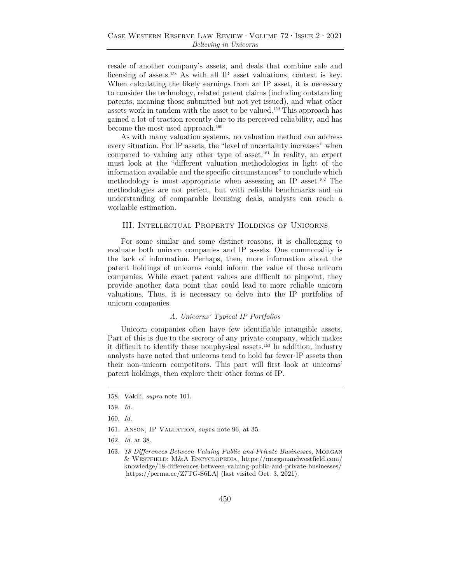resale of another company's assets, and deals that combine sale and licensing of assets.158 As with all IP asset valuations, context is key. When calculating the likely earnings from an IP asset, it is necessary to consider the technology, related patent claims (including outstanding patents, meaning those submitted but not yet issued), and what other assets work in tandem with the asset to be valued.159 This approach has gained a lot of traction recently due to its perceived reliability, and has become the most used approach.<sup>160</sup>

As with many valuation systems, no valuation method can address every situation. For IP assets, the "level of uncertainty increases" when compared to valuing any other type of asset.161 In reality, an expert must look at the "different valuation methodologies in light of the information available and the specific circumstances" to conclude which methodology is most appropriate when assessing an IP asset.162 The methodologies are not perfect, but with reliable benchmarks and an understanding of comparable licensing deals, analysts can reach a workable estimation.

#### III. Intellectual Property Holdings of Unicorns

For some similar and some distinct reasons, it is challenging to evaluate both unicorn companies and IP assets. One commonality is the lack of information. Perhaps, then, more information about the patent holdings of unicorns could inform the value of those unicorn companies. While exact patent values are difficult to pinpoint, they provide another data point that could lead to more reliable unicorn valuations. Thus, it is necessary to delve into the IP portfolios of unicorn companies.

#### *A. Unicorns' Typical IP Portfolios*

Unicorn companies often have few identifiable intangible assets. Part of this is due to the secrecy of any private company, which makes it difficult to identify these nonphysical assets.163 In addition, industry analysts have noted that unicorns tend to hold far fewer IP assets than their non-unicorn competitors. This part will first look at unicorns' patent holdings, then explore their other forms of IP.

- 160. *Id.*
- 161. Anson, IP Valuation, *supra* note 96, at 35.
- 162. *Id.* at 38.
- 163. *18 Differences Between Valuing Public and Private Businesses*, Morgan & Westfield: M&A Encyclopedia, https://morganandwestfield.com/ knowledge/18-differences-between-valuing-public-and-private-businesses/ [https://perma.cc/Z7TG-S6LA] (last visited Oct. 3, 2021).

<sup>158.</sup> Vakili, *supra* note 101.

<sup>159.</sup> *Id.*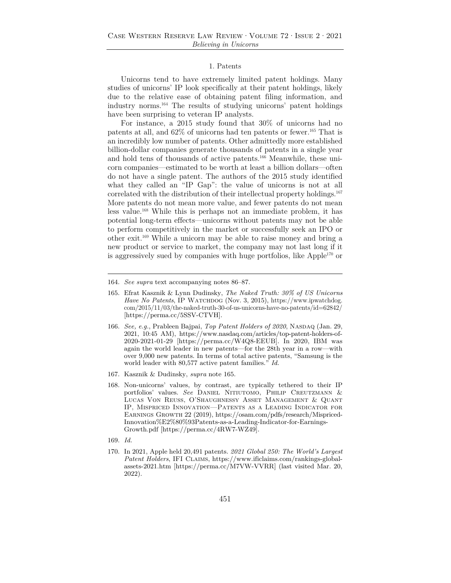#### 1. Patents

Unicorns tend to have extremely limited patent holdings. Many studies of unicorns' IP look specifically at their patent holdings, likely due to the relative ease of obtaining patent filing information, and industry norms.164 The results of studying unicorns' patent holdings have been surprising to veteran IP analysts.

For instance, a 2015 study found that 30% of unicorns had no patents at all, and 62% of unicorns had ten patents or fewer.165 That is an incredibly low number of patents. Other admittedly more established billion-dollar companies generate thousands of patents in a single year and hold tens of thousands of active patents.166 Meanwhile, these unicorn companies—estimated to be worth at least a billion dollars—often do not have a single patent. The authors of the 2015 study identified what they called an "IP Gap": the value of unicorns is not at all correlated with the distribution of their intellectual property holdings.<sup>167</sup> More patents do not mean more value, and fewer patents do not mean less value.168 While this is perhaps not an immediate problem, it has potential long-term effects—unicorns without patents may not be able to perform competitively in the market or successfully seek an IPO or other exit.169 While a unicorn may be able to raise money and bring a new product or service to market, the company may not last long if it is aggressively sued by companies with huge portfolios, like Apple<sup>170</sup> or

- 167. Kasznik & Dudinsky, *supra* note 165.
- 168. Non-unicorns' values, by contrast, are typically tethered to their IP portfolios' values. See DANIEL NITIUTOMO, PHILIP CREUTZMANN & Lucas Von Reuss, O'Shaughnessy Asset Management & Quant IP, Mispriced Innovation—Patents as a Leading Indicator for Earnings Growth 22 (2019), https://osam.com/pdfs/research/Mispriced-Innovation%E2%80%93Patents-as-a-Leading-Indicator-for-Earnings-Growth.pdf [https://perma.cc/4RW7-WZ49].
- 169. *Id.*
- 170. In 2021, Apple held 20,491 patents. *2021 Global 250: The World's Largest Patent Holders*, IFI Claims, https://www.ificlaims.com/rankings-globalassets-2021.htm [https://perma.cc/M7VW-VVRR] (last visited Mar. 20, 2022).

<sup>164.</sup> *See supra* text accompanying notes 86–87.

<sup>165.</sup> Efrat Kasznik & Lynn Dudinsky, *The Naked Truth: 30% of US Unicorns Have No Patents*, IP Watchdog (Nov. 3, 2015), https://www.ipwatchdog. com/2015/11/03/the-naked-truth-30-of-us-unicorns-have-no-patents/id=62842/ [https://perma.cc/5SSV-CTVH].

<sup>166.</sup> *See, e.g.*, Prableen Bajpai, *Top Patent Holders of 2020*, Nasdaq (Jan. 29, 2021, 10:45 AM), https://www.nasdaq.com/articles/top-patent-holders-of-2020-2021-01-29 [https://perma.cc/W4Q8-EEUB]. In 2020, IBM was again the world leader in new patents—for the 28th year in a row—with over 9,000 new patents. In terms of total active patents, "Samsung is the world leader with 80,577 active patent families." *Id.*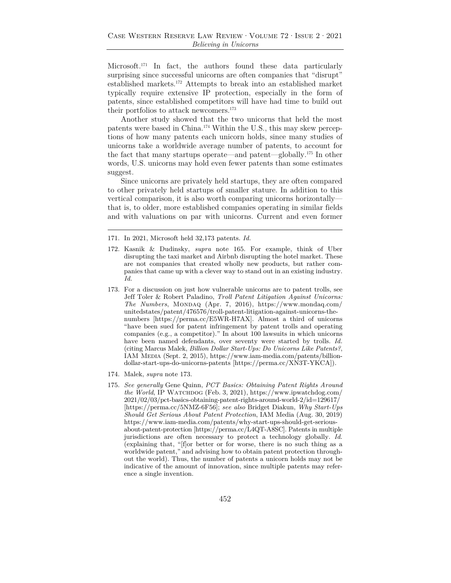Microsoft.<sup>171</sup> In fact, the authors found these data particularly surprising since successful unicorns are often companies that "disrupt" established markets.172 Attempts to break into an established market typically require extensive IP protection, especially in the form of patents, since established competitors will have had time to build out their portfolios to attack newcomers.173

Another study showed that the two unicorns that held the most patents were based in China.174 Within the U.S., this may skew perceptions of how many patents each unicorn holds, since many studies of unicorns take a worldwide average number of patents, to account for the fact that many startups operate—and patent—globally.175 In other words, U.S. unicorns may hold even fewer patents than some estimates suggest.

Since unicorns are privately held startups, they are often compared to other privately held startups of smaller stature. In addition to this vertical comparison, it is also worth comparing unicorns horizontally that is, to older, more established companies operating in similar fields and with valuations on par with unicorns. Current and even former

- 171. In 2021, Microsoft held 32,173 patents. *Id.*
- 172. Kasnik & Dudinsky, *supra* note 165. For example, think of Uber disrupting the taxi market and Airbnb disrupting the hotel market. These are not companies that created wholly new products, but rather companies that came up with a clever way to stand out in an existing industry. *Id.*
- 173. For a discussion on just how vulnerable unicorns are to patent trolls, see Jeff Toler & Robert Paladino, *Troll Patent Litigation Against Unicorns: The Numbers*, MONDAQ (Apr. 7, 2016), https://www.mondaq.com/ unitedstates/patent/476576/troll-patent-litigation-against-unicorns-thenumbers [https://perma.cc/E5WR-H7AX]. Almost a third of unicorns "have been sued for patent infringement by patent trolls and operating companies (e.g., a competitor)." In about 100 lawsuits in which unicorns have been named defendants, over seventy were started by trolls. *Id.* (citing Marcus Malek, *Billion Dollar Start-Ups: Do Unicorns Like Patents?*, IAM Media (Sept. 2, 2015), https://www.iam-media.com/patents/billiondollar-start-ups-do-unicorns-patents [https://perma.cc/XN3T-YKCA]).
- 174. Malek, *supra* note 173.
- 175. *See generally* Gene Quinn, *PCT Basics: Obtaining Patent Rights Around the World*, IP WATCHDOG (Feb. 3, 2021), https://www.ipwatchdog.com/ 2021/02/03/pct-basics-obtaining-patent-rights-around-world-2/id=129617/ [https://perma.cc/5NMZ-6F56]; *see also* Bridget Diakun, *Why Start-Ups Should Get Serious About Patent Protection*, IAM Media (Aug. 30, 2019) https://www.iam-media.com/patents/why-start-ups-should-get-seriousabout-patent-protection [https://perma.cc/L4QT-A8SC]. Patents in multiple jurisdictions are often necessary to protect a technology globally. *Id.* (explaining that, "[f]or better or for worse, there is no such thing as a worldwide patent," and advising how to obtain patent protection throughout the world). Thus, the number of patents a unicorn holds may not be indicative of the amount of innovation, since multiple patents may reference a single invention.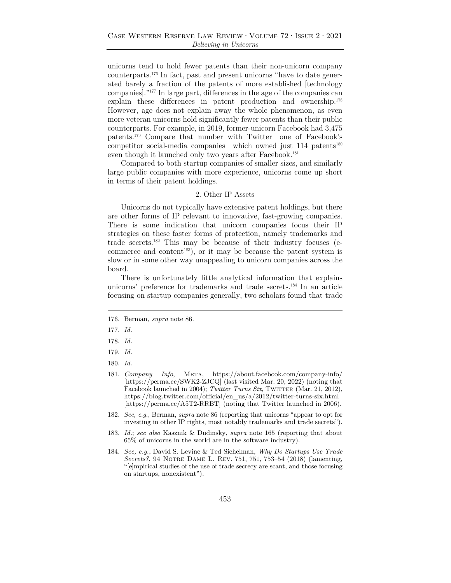unicorns tend to hold fewer patents than their non-unicorn company counterparts.176 In fact, past and present unicorns "have to date generated barely a fraction of the patents of more established [technology companies]."177 In large part, differences in the age of the companies can explain these differences in patent production and ownership.178 However, age does not explain away the whole phenomenon, as even more veteran unicorns hold significantly fewer patents than their public counterparts. For example, in 2019, former-unicorn Facebook had 3,475 patents.179 Compare that number with Twitter—one of Facebook's competitor social-media companies—which owned just 114 patents<sup>180</sup> even though it launched only two years after Facebook.<sup>181</sup>

Compared to both startup companies of smaller sizes, and similarly large public companies with more experience, unicorns come up short in terms of their patent holdings.

#### 2. Other IP Assets

Unicorns do not typically have extensive patent holdings, but there are other forms of IP relevant to innovative, fast-growing companies. There is some indication that unicorn companies focus their IP strategies on these faster forms of protection, namely trademarks and trade secrets.182 This may be because of their industry focuses (ecommerce and content<sup>183</sup>), or it may be because the patent system is slow or in some other way unappealing to unicorn companies across the board.

There is unfortunately little analytical information that explains unicorns' preference for trademarks and trade secrets.<sup>184</sup> In an article focusing on startup companies generally, two scholars found that trade

177. *Id.* 

- 179. *Id.*
- 180. *Id.*
- 181. *Company Info*, Meta, https://about.facebook.com/company-info/ [https://perma.cc/SWK2-ZJCQ] (last visited Mar. 20, 2022) (noting that Facebook launched in 2004); *Twitter Turns Six*, TWITTER (Mar. 21, 2012), https://blog.twitter.com/official/en\_us/a/2012/twitter-turns-six.html [https://perma.cc/A5T2-RRBT] (noting that Twitter launched in 2006).
- 182. *See, e.g.*, Berman, *supra* note 86 (reporting that unicorns "appear to opt for investing in other IP rights, most notably trademarks and trade secrets").
- 183. *Id.*; *see also* Kasznik & Dudinsky, *supra* note 165 (reporting that about 65% of unicorns in the world are in the software industry).
- 184. *See, e.g.*, David S. Levine & Ted Sichelman, *Why Do Startups Use Trade Secrets?*, 94 Notre Dame L. Rev. 751, 751, 753–54 (2018) (lamenting, "[e]mpirical studies of the use of trade secrecy are scant, and those focusing on startups, nonexistent").

<sup>176.</sup> Berman, *supra* note 86.

<sup>178.</sup> *Id.*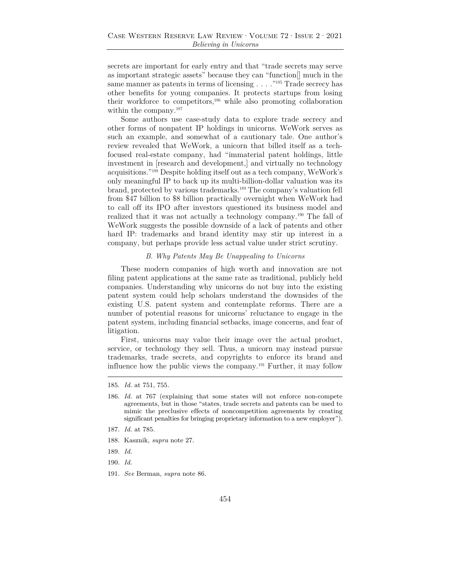secrets are important for early entry and that "trade secrets may serve as important strategic assets" because they can "function[] much in the same manner as patents in terms of licensing . . . . .<sup>"185</sup> Trade secrecy has other benefits for young companies. It protects startups from losing their workforce to competitors,186 while also promoting collaboration within the company.<sup>187</sup>

Some authors use case-study data to explore trade secrecy and other forms of nonpatent IP holdings in unicorns. WeWork serves as such an example, and somewhat of a cautionary tale. One author's review revealed that WeWork, a unicorn that billed itself as a techfocused real-estate company, had "immaterial patent holdings, little investment in [research and development,] and virtually no technology acquisitions."188 Despite holding itself out as a tech company, WeWork's only meaningful IP to back up its multi-billion-dollar valuation was its brand, protected by various trademarks.189 The company's valuation fell from \$47 billion to \$8 billion practically overnight when WeWork had to call off its IPO after investors questioned its business model and realized that it was not actually a technology company.190 The fall of WeWork suggests the possible downside of a lack of patents and other hard IP: trademarks and brand identity may stir up interest in a company, but perhaps provide less actual value under strict scrutiny.

#### *B. Why Patents May Be Unappealing to Unicorns*

These modern companies of high worth and innovation are not filing patent applications at the same rate as traditional, publicly held companies. Understanding why unicorns do not buy into the existing patent system could help scholars understand the downsides of the existing U.S. patent system and contemplate reforms. There are a number of potential reasons for unicorns' reluctance to engage in the patent system, including financial setbacks, image concerns, and fear of litigation.

First, unicorns may value their image over the actual product, service, or technology they sell. Thus, a unicorn may instead pursue trademarks, trade secrets, and copyrights to enforce its brand and influence how the public views the company.191 Further, it may follow

- 188. Kasznik, *supra* note 27.
- 189. *Id.*
- 190. *Id.*
- 191. *See* Berman, *supra* note 86.

<sup>185.</sup> *Id.* at 751, 755*.*

<sup>186.</sup> *Id.* at 767 (explaining that some states will not enforce non-compete agreements, but in those "states, trade secrets and patents can be used to mimic the preclusive effects of noncompetition agreements by creating significant penalties for bringing proprietary information to a new employer").

<sup>187.</sup> *Id.* at 785.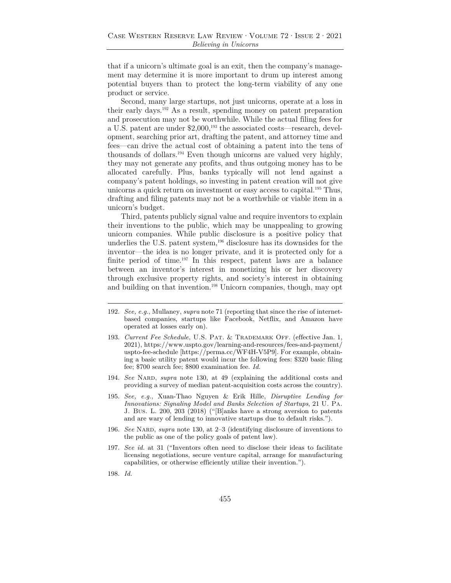that if a unicorn's ultimate goal is an exit, then the company's management may determine it is more important to drum up interest among potential buyers than to protect the long-term viability of any one product or service.

Second, many large startups, not just unicorns, operate at a loss in their early days.192 As a result, spending money on patent preparation and prosecution may not be worthwhile. While the actual filing fees for a U.S. patent are under \$2,000,193 the associated costs—research, development, searching prior art, drafting the patent, and attorney time and fees—can drive the actual cost of obtaining a patent into the tens of thousands of dollars.194 Even though unicorns are valued very highly, they may not generate any profits, and thus outgoing money has to be allocated carefully. Plus, banks typically will not lend against a company's patent holdings, so investing in patent creation will not give unicorns a quick return on investment or easy access to capital.195 Thus, drafting and filing patents may not be a worthwhile or viable item in a unicorn's budget.

Third, patents publicly signal value and require inventors to explain their inventions to the public, which may be unappealing to growing unicorn companies. While public disclosure is a positive policy that underlies the U.S. patent system, $196$  disclosure has its downsides for the inventor—the idea is no longer private, and it is protected only for a finite period of time.<sup>197</sup> In this respect, patent laws are a balance between an inventor's interest in monetizing his or her discovery through exclusive property rights, and society's interest in obtaining and building on that invention.<sup>198</sup> Unicorn companies, though, may opt

- 192. *See, e.g.*, Mullaney, *supra* note 71 (reporting that since the rise of internetbased companies, startups like Facebook, Netflix, and Amazon have operated at losses early on).
- 193. *Current Fee Schedule*, U.S. PAT. & TRADEMARK OFF. (effective Jan. 1, 2021), https://www.uspto.gov/learning-and-resources/fees-and-payment/ uspto-fee-schedule [https://perma.cc/WF4H-V5P9]. For example, obtaining a basic utility patent would incur the following fees: \$320 basic filing fee; \$700 search fee; \$800 examination fee. *Id.*
- 194. *See* Nard, *supra* note 130, at 49 (explaining the additional costs and providing a survey of median patent-acquisition costs across the country).
- 195. *See, e.g.*, Xuan-Thao Nguyen & Erik Hille, *Disruptive Lending for Innovations: Signaling Model and Banks Selection of Startups*, 21 U. Pa. J. Bus. L. 200, 203 (2018) ("[B]anks have a strong aversion to patents and are wary of lending to innovative startups due to default risks.").
- 196. *See* Nard, *supra* note 130, at 2–3 (identifying disclosure of inventions to the public as one of the policy goals of patent law).
- 197. *See id.* at 31 ("Inventors often need to disclose their ideas to facilitate licensing negotiations, secure venture capital, arrange for manufacturing capabilities, or otherwise efficiently utilize their invention.").
- 198. *Id.*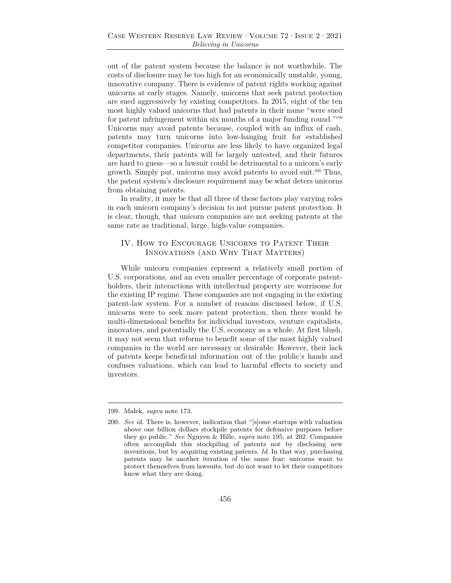out of the patent system because the balance is not worthwhile. The costs of disclosure may be too high for an economically unstable, young, innovative company. There is evidence of patent rights working against unicorns at early stages. Namely, unicorns that seek patent protection are sued aggressively by existing competitors. In 2015, eight of the ten most highly valued unicorns that had patents in their name "were sued for patent infringement within six months of a major funding round."199 Unicorns may avoid patents because, coupled with an influx of cash, patents may turn unicorns into low-hanging fruit for established competitor companies. Unicorns are less likely to have organized legal departments, their patents will be largely untested, and their futures are hard to guess—so a lawsuit could be detrimental to a unicorn's early growth. Simply put, unicorns may avoid patents to avoid suit.200 Thus, the patent system's disclosure requirement may be what deters unicorns from obtaining patents.

In reality, it may be that all three of these factors play varying roles in each unicorn company's decision to not pursue patent protection. It is clear, though, that unicorn companies are not seeking patents at the same rate as traditional, large, high-value companies.

## IV. How to Encourage Unicorns to Patent Their Innovations (and Why That Matters)

While unicorn companies represent a relatively small portion of U.S. corporations, and an even smaller percentage of corporate patentholders, their interactions with intellectual property are worrisome for the existing IP regime. These companies are not engaging in the existing patent-law system. For a number of reasons discussed below, if U.S. unicorns were to seek more patent protection, then there would be multi-dimensional benefits for individual investors, venture capitalists, innovators, and potentially the U.S. economy as a whole. At first blush, it may not seem that reforms to benefit some of the most highly valued companies in the world are necessary or desirable. However, their lack of patents keeps beneficial information out of the public's hands and confuses valuations, which can lead to harmful effects to society and investors.

<sup>199.</sup> Malek, *supra* note 173.

<sup>200.</sup> *See id.* There is, however, indication that "[s]ome startups with valuation above one billion dollars stockpile patents for defensive purposes before they go public." *See* Nguyen & Hille, *supra* note 195, at 202. Companies often accomplish this stockpiling of patents not by disclosing new inventions, but by acquiring existing patents. *Id*. In that way, purchasing patents may be another iteration of the same fear: unicorns want to protect themselves from lawsuits, but do not want to let their competitors know what they are doing.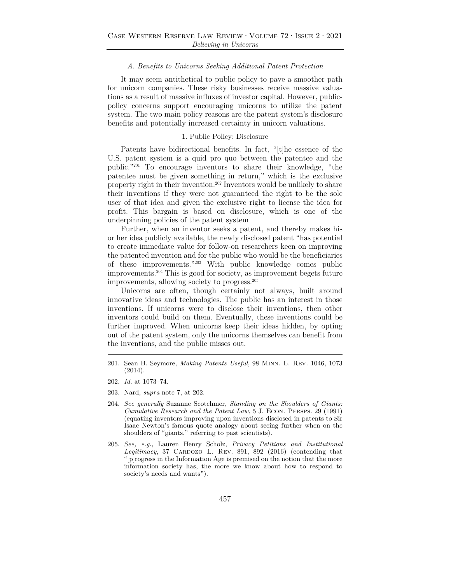#### *A. Benefits to Unicorns Seeking Additional Patent Protection*

It may seem antithetical to public policy to pave a smoother path for unicorn companies. These risky businesses receive massive valuations as a result of massive influxes of investor capital. However, publicpolicy concerns support encouraging unicorns to utilize the patent system. The two main policy reasons are the patent system's disclosure benefits and potentially increased certainty in unicorn valuations.

#### 1. Public Policy: Disclosure

Patents have bidirectional benefits. In fact, "[t]he essence of the U.S. patent system is a quid pro quo between the patentee and the public."201 To encourage inventors to share their knowledge, "the patentee must be given something in return," which is the exclusive property right in their invention.202 Inventors would be unlikely to share their inventions if they were not guaranteed the right to be the sole user of that idea and given the exclusive right to license the idea for profit. This bargain is based on disclosure, which is one of the underpinning policies of the patent system

Further, when an inventor seeks a patent, and thereby makes his or her idea publicly available, the newly disclosed patent "has potential to create immediate value for follow-on researchers keen on improving the patented invention and for the public who would be the beneficiaries of these improvements."203 With public knowledge comes public improvements.204 This is good for society, as improvement begets future improvements, allowing society to progress.205

Unicorns are often, though certainly not always, built around innovative ideas and technologies. The public has an interest in those inventions. If unicorns were to disclose their inventions, then other inventors could build on them. Eventually, these inventions could be further improved. When unicorns keep their ideas hidden, by opting out of the patent system, only the unicorns themselves can benefit from the inventions, and the public misses out.

- 201. Sean B. Seymore, *Making Patents Useful*, 98 Minn. L. Rev. 1046, 1073 (2014).
- 202. *Id.* at 1073–74.
- 203. Nard, *supra* note 7, at 202.
- 204. *See generally* Suzanne Scotchmer, *Standing on the Shoulders of Giants: Cumulative Research and the Patent Law*, 5 J. Econ. Persps. 29 (1991) (equating inventors improving upon inventions disclosed in patents to Sir Isaac Newton's famous quote analogy about seeing further when on the shoulders of "giants," referring to past scientists).
- 205. *See, e.g.*, Lauren Henry Scholz, *Privacy Petitions and Institutional*  Legitimacy, 37 CARDOZO L. REV. 891, 892 (2016) (contending that "[p]rogress in the Information Age is premised on the notion that the more information society has, the more we know about how to respond to society's needs and wants").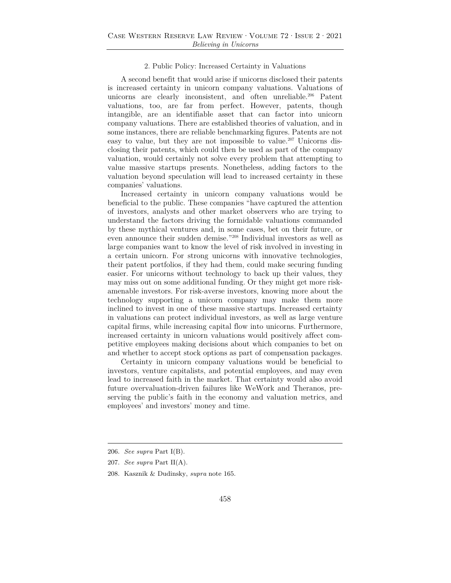#### 2. Public Policy: Increased Certainty in Valuations

A second benefit that would arise if unicorns disclosed their patents is increased certainty in unicorn company valuations. Valuations of unicorns are clearly inconsistent, and often unreliable.<sup>206</sup> Patent valuations, too, are far from perfect. However, patents, though intangible, are an identifiable asset that can factor into unicorn company valuations. There are established theories of valuation, and in some instances, there are reliable benchmarking figures. Patents are not easy to value, but they are not impossible to value.<sup>207</sup> Unicorns disclosing their patents, which could then be used as part of the company valuation, would certainly not solve every problem that attempting to value massive startups presents. Nonetheless, adding factors to the valuation beyond speculation will lead to increased certainty in these companies' valuations.

Increased certainty in unicorn company valuations would be beneficial to the public. These companies "have captured the attention of investors, analysts and other market observers who are trying to understand the factors driving the formidable valuations commanded by these mythical ventures and, in some cases, bet on their future, or even announce their sudden demise."208 Individual investors as well as large companies want to know the level of risk involved in investing in a certain unicorn. For strong unicorns with innovative technologies, their patent portfolios, if they had them, could make securing funding easier. For unicorns without technology to back up their values, they may miss out on some additional funding. Or they might get more riskamenable investors. For risk-averse investors, knowing more about the technology supporting a unicorn company may make them more inclined to invest in one of these massive startups. Increased certainty in valuations can protect individual investors, as well as large venture capital firms, while increasing capital flow into unicorns. Furthermore, increased certainty in unicorn valuations would positively affect competitive employees making decisions about which companies to bet on and whether to accept stock options as part of compensation packages.

Certainty in unicorn company valuations would be beneficial to investors, venture capitalists, and potential employees, and may even lead to increased faith in the market. That certainty would also avoid future overvaluation-driven failures like WeWork and Theranos, preserving the public's faith in the economy and valuation metrics, and employees' and investors' money and time.

<sup>206.</sup> *See supra* Part I(B).

<sup>207.</sup> *See supra* Part II(A).

<sup>208.</sup> Kasznik & Dudinsky, *supra* note 165.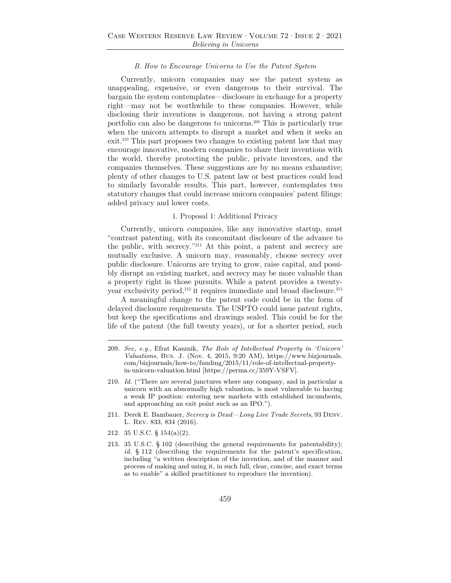#### *B. How to Encourage Unicorns to Use the Patent System*

Currently, unicorn companies may see the patent system as unappealing, expensive, or even dangerous to their survival. The bargain the system contemplates—disclosure in exchange for a property right—may not be worthwhile to these companies. However, while disclosing their inventions is dangerous, not having a strong patent portfolio can also be dangerous to unicorns.209 This is particularly true when the unicorn attempts to disrupt a market and when it seeks an exit.<sup>210</sup> This part proposes two changes to existing patent law that may encourage innovative, modern companies to share their inventions with the world, thereby protecting the public, private investors, and the companies themselves. These suggestions are by no means exhaustive; plenty of other changes to U.S. patent law or best practices could lead to similarly favorable results. This part, however, contemplates two statutory changes that could increase unicorn companies' patent filings: added privacy and lower costs.

#### 1. Proposal 1: Additional Privacy

Currently, unicorn companies, like any innovative startup, must "contrast patenting, with its concomitant disclosure of the advance to the public, with secrecy."211 At this point, a patent and secrecy are mutually exclusive. A unicorn may, reasonably, choose secrecy over public disclosure. Unicorns are trying to grow, raise capital, and possibly disrupt an existing market, and secrecy may be more valuable than a property right in those pursuits. While a patent provides a twentyyear exclusivity period,<sup>212</sup> it requires immediate and broad disclosure.<sup>213</sup>

A meaningful change to the patent code could be in the form of delayed disclosure requirements. The USPTO could issue patent rights, but keep the specifications and drawings sealed. This could be for the life of the patent (the full twenty years), or for a shorter period, such

- 209. *See, e.g.*, Efrat Kasznik, *The Role of Intellectual Property in 'Unicorn' Valuations*, Bus. J. (Nov. 4, 2015, 9:20 AM), https://www.bizjournals. com/bizjournals/how-to/funding/2015/11/role-of-intellectual-propertyin-unicorn-valuation.html [https://perma.cc/359Y-VSFV].
- 210. *Id.* ("There are several junctures where any company, and in particular a unicorn with an abnormally high valuation, is most vulnerable to having a weak IP position: entering new markets with established incumbents, and approaching an exit point such as an IPO.").
- 211. Derek E. Bambauer, *Secrecy is Dead—Long Live Trade Secrets*, 93 Denv. L. Rev. 833, 834 (2016).
- 212. 35 U.S.C. § 154(a)(2).
- 213. 35 U.S.C. § 102 (describing the general requirements for patentability); *id.* § 112 (describing the requirements for the patent's specification, including "a written description of the invention, and of the manner and process of making and using it, in such full, clear, concise, and exact terms as to enable" a skilled practitioner to reproduce the invention).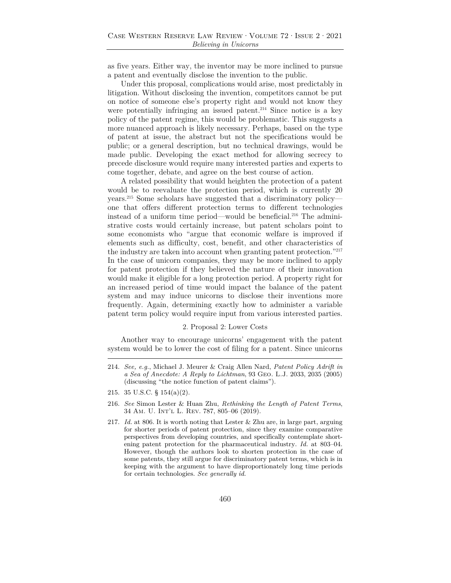as five years. Either way, the inventor may be more inclined to pursue a patent and eventually disclose the invention to the public.

Under this proposal, complications would arise, most predictably in litigation. Without disclosing the invention, competitors cannot be put on notice of someone else's property right and would not know they were potentially infringing an issued patent.<sup>214</sup> Since notice is a key policy of the patent regime, this would be problematic. This suggests a more nuanced approach is likely necessary. Perhaps, based on the type of patent at issue, the abstract but not the specifications would be public; or a general description, but no technical drawings, would be made public. Developing the exact method for allowing secrecy to precede disclosure would require many interested parties and experts to come together, debate, and agree on the best course of action.

A related possibility that would heighten the protection of a patent would be to reevaluate the protection period, which is currently 20 years.215 Some scholars have suggested that a discriminatory policy one that offers different protection terms to different technologies instead of a uniform time period—would be beneficial.216 The administrative costs would certainly increase, but patent scholars point to some economists who "argue that economic welfare is improved if elements such as difficulty, cost, benefit, and other characteristics of the industry are taken into account when granting patent protection."217 In the case of unicorn companies, they may be more inclined to apply for patent protection if they believed the nature of their innovation would make it eligible for a long protection period. A property right for an increased period of time would impact the balance of the patent system and may induce unicorns to disclose their inventions more frequently. Again, determining exactly how to administer a variable patent term policy would require input from various interested parties.

#### 2. Proposal 2: Lower Costs

Another way to encourage unicorns' engagement with the patent system would be to lower the cost of filing for a patent. Since unicorns

<sup>214.</sup> *See, e.g.*, Michael J. Meurer & Craig Allen Nard, *Patent Policy Adrift in a Sea of Anecdote: A Reply to Lichtman*, 93 Geo. L.J. 2033, 2035 (2005) (discussing "the notice function of patent claims").

<sup>215. 35</sup> U.S.C. § 154(a)(2).

<sup>216.</sup> *See* Simon Lester & Huan Zhu, *Rethinking the Length of Patent Terms*, 34 Am. U. Int'l L. Rev. 787, 805–06 (2019).

<sup>217.</sup> *Id.* at 806. It is worth noting that Lester & Zhu are, in large part, arguing for shorter periods of patent protection, since they examine comparative perspectives from developing countries, and specifically contemplate shortening patent protection for the pharmaceutical industry. *Id.* at 803–04. However, though the authors look to shorten protection in the case of some patents, they still argue for discriminatory patent terms, which is in keeping with the argument to have disproportionately long time periods for certain technologies. *See generally id.*